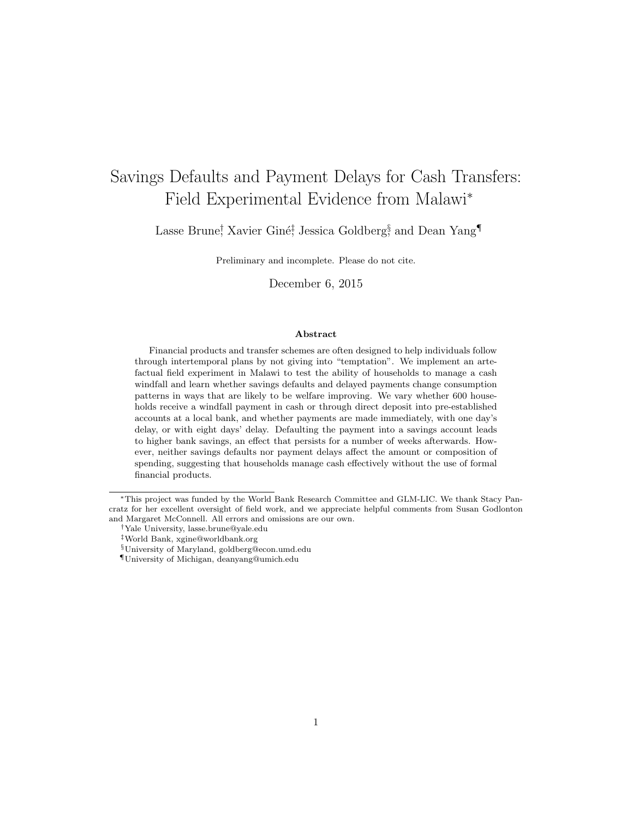# Savings Defaults and Payment Delays for Cash Transfers: Field Experimental Evidence from Malawi<sup>∗</sup>

Lasse Brune<sup>†</sup>, Xavier Giné<sup>‡</sup>, Jessica Goldberg<sup>§</sup>, and Dean Yang¶

Preliminary and incomplete. Please do not cite.

December 6, 2015

#### Abstract

Financial products and transfer schemes are often designed to help individuals follow through intertemporal plans by not giving into "temptation". We implement an artefactual field experiment in Malawi to test the ability of households to manage a cash windfall and learn whether savings defaults and delayed payments change consumption patterns in ways that are likely to be welfare improving. We vary whether 600 households receive a windfall payment in cash or through direct deposit into pre-established accounts at a local bank, and whether payments are made immediately, with one day's delay, or with eight days' delay. Defaulting the payment into a savings account leads to higher bank savings, an effect that persists for a number of weeks afterwards. However, neither savings defaults nor payment delays affect the amount or composition of spending, suggesting that households manage cash effectively without the use of formal financial products.

<sup>∗</sup>This project was funded by the World Bank Research Committee and GLM-LIC. We thank Stacy Pancratz for her excellent oversight of field work, and we appreciate helpful comments from Susan Godlonton and Margaret McConnell. All errors and omissions are our own.

<sup>†</sup>Yale University, lasse.brune@yale.edu

<sup>‡</sup>World Bank, xgine@worldbank.org

<sup>§</sup>University of Maryland, goldberg@econ.umd.edu

<sup>¶</sup>University of Michigan, deanyang@umich.edu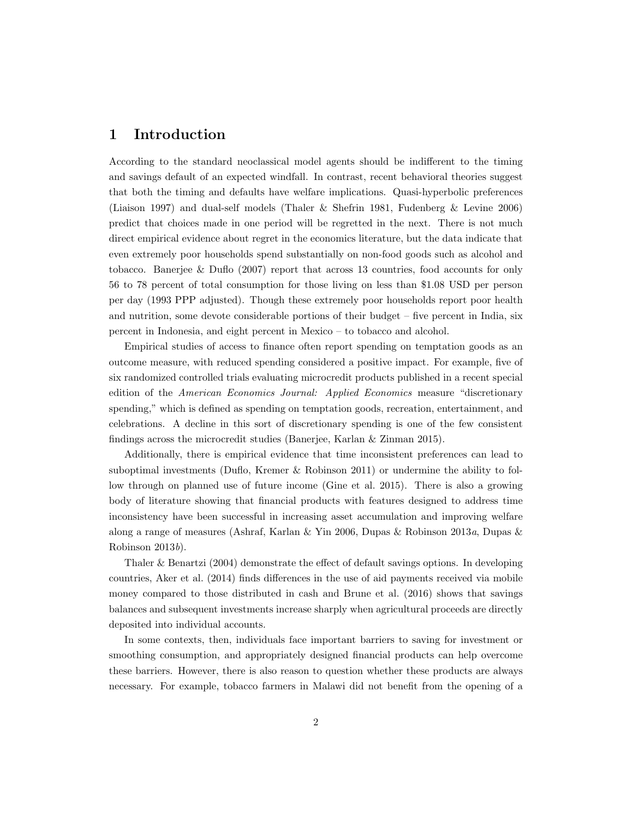# 1 Introduction

According to the standard neoclassical model agents should be indifferent to the timing and savings default of an expected windfall. In contrast, recent behavioral theories suggest that both the timing and defaults have welfare implications. Quasi-hyperbolic preferences (Liaison 1997) and dual-self models (Thaler & Shefrin 1981, Fudenberg & Levine 2006) predict that choices made in one period will be regretted in the next. There is not much direct empirical evidence about regret in the economics literature, but the data indicate that even extremely poor households spend substantially on non-food goods such as alcohol and tobacco. Banerjee & Duflo (2007) report that across 13 countries, food accounts for only 56 to 78 percent of total consumption for those living on less than \$1.08 USD per person per day (1993 PPP adjusted). Though these extremely poor households report poor health and nutrition, some devote considerable portions of their budget – five percent in India, six percent in Indonesia, and eight percent in Mexico – to tobacco and alcohol.

Empirical studies of access to finance often report spending on temptation goods as an outcome measure, with reduced spending considered a positive impact. For example, five of six randomized controlled trials evaluating microcredit products published in a recent special edition of the American Economics Journal: Applied Economics measure "discretionary spending," which is defined as spending on temptation goods, recreation, entertainment, and celebrations. A decline in this sort of discretionary spending is one of the few consistent findings across the microcredit studies (Banerjee, Karlan & Zinman 2015).

Additionally, there is empirical evidence that time inconsistent preferences can lead to suboptimal investments (Duflo, Kremer & Robinson 2011) or undermine the ability to follow through on planned use of future income (Gine et al. 2015). There is also a growing body of literature showing that financial products with features designed to address time inconsistency have been successful in increasing asset accumulation and improving welfare along a range of measures (Ashraf, Karlan & Yin 2006, Dupas & Robinson 2013a, Dupas & Robinson 2013b).

Thaler & Benartzi (2004) demonstrate the effect of default savings options. In developing countries, Aker et al. (2014) finds differences in the use of aid payments received via mobile money compared to those distributed in cash and Brune et al. (2016) shows that savings balances and subsequent investments increase sharply when agricultural proceeds are directly deposited into individual accounts.

In some contexts, then, individuals face important barriers to saving for investment or smoothing consumption, and appropriately designed financial products can help overcome these barriers. However, there is also reason to question whether these products are always necessary. For example, tobacco farmers in Malawi did not benefit from the opening of a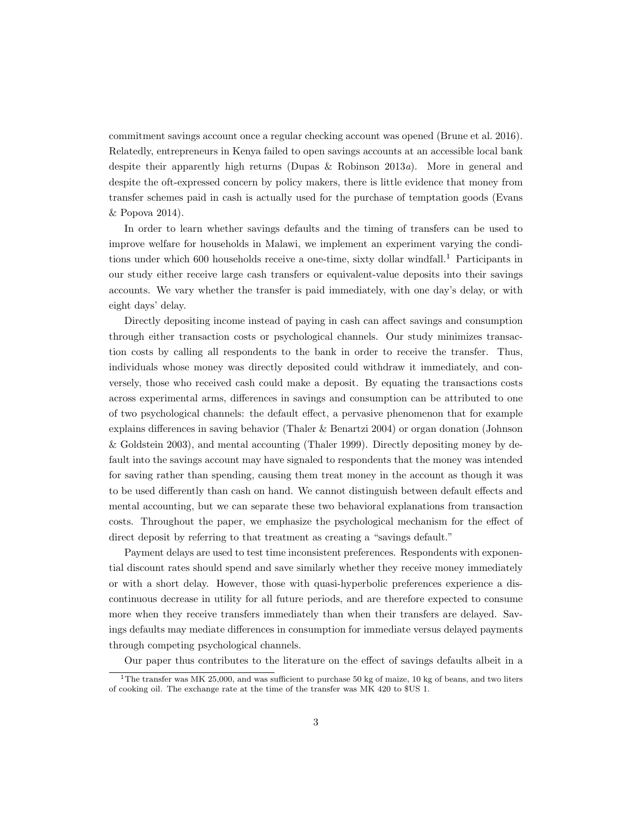commitment savings account once a regular checking account was opened (Brune et al. 2016). Relatedly, entrepreneurs in Kenya failed to open savings accounts at an accessible local bank despite their apparently high returns (Dupas & Robinson 2013a). More in general and despite the oft-expressed concern by policy makers, there is little evidence that money from transfer schemes paid in cash is actually used for the purchase of temptation goods (Evans & Popova 2014).

In order to learn whether savings defaults and the timing of transfers can be used to improve welfare for households in Malawi, we implement an experiment varying the conditions under which 600 households receive a one-time, sixty dollar windfall.<sup>1</sup> Participants in our study either receive large cash transfers or equivalent-value deposits into their savings accounts. We vary whether the transfer is paid immediately, with one day's delay, or with eight days' delay.

Directly depositing income instead of paying in cash can affect savings and consumption through either transaction costs or psychological channels. Our study minimizes transaction costs by calling all respondents to the bank in order to receive the transfer. Thus, individuals whose money was directly deposited could withdraw it immediately, and conversely, those who received cash could make a deposit. By equating the transactions costs across experimental arms, differences in savings and consumption can be attributed to one of two psychological channels: the default effect, a pervasive phenomenon that for example explains differences in saving behavior (Thaler & Benartzi 2004) or organ donation (Johnson & Goldstein 2003), and mental accounting (Thaler 1999). Directly depositing money by default into the savings account may have signaled to respondents that the money was intended for saving rather than spending, causing them treat money in the account as though it was to be used differently than cash on hand. We cannot distinguish between default effects and mental accounting, but we can separate these two behavioral explanations from transaction costs. Throughout the paper, we emphasize the psychological mechanism for the effect of direct deposit by referring to that treatment as creating a "savings default."

Payment delays are used to test time inconsistent preferences. Respondents with exponential discount rates should spend and save similarly whether they receive money immediately or with a short delay. However, those with quasi-hyperbolic preferences experience a discontinuous decrease in utility for all future periods, and are therefore expected to consume more when they receive transfers immediately than when their transfers are delayed. Savings defaults may mediate differences in consumption for immediate versus delayed payments through competing psychological channels.

Our paper thus contributes to the literature on the effect of savings defaults albeit in a

<sup>&</sup>lt;sup>1</sup>The transfer was MK 25,000, and was sufficient to purchase 50 kg of maize, 10 kg of beans, and two liters of cooking oil. The exchange rate at the time of the transfer was MK 420 to \$US 1.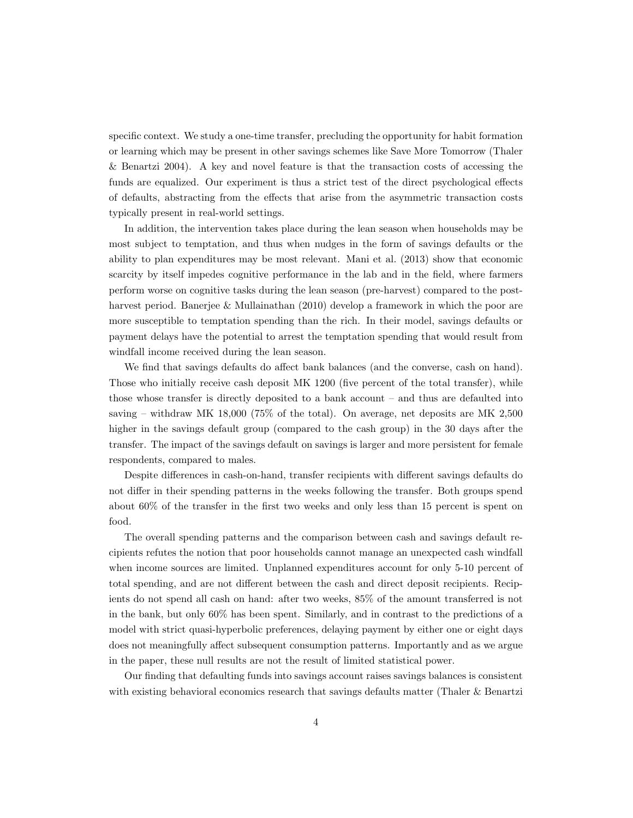specific context. We study a one-time transfer, precluding the opportunity for habit formation or learning which may be present in other savings schemes like Save More Tomorrow (Thaler & Benartzi 2004). A key and novel feature is that the transaction costs of accessing the funds are equalized. Our experiment is thus a strict test of the direct psychological effects of defaults, abstracting from the effects that arise from the asymmetric transaction costs typically present in real-world settings.

In addition, the intervention takes place during the lean season when households may be most subject to temptation, and thus when nudges in the form of savings defaults or the ability to plan expenditures may be most relevant. Mani et al. (2013) show that economic scarcity by itself impedes cognitive performance in the lab and in the field, where farmers perform worse on cognitive tasks during the lean season (pre-harvest) compared to the postharvest period. Banerjee & Mullainathan (2010) develop a framework in which the poor are more susceptible to temptation spending than the rich. In their model, savings defaults or payment delays have the potential to arrest the temptation spending that would result from windfall income received during the lean season.

We find that savings defaults do affect bank balances (and the converse, cash on hand). Those who initially receive cash deposit MK 1200 (five percent of the total transfer), while those whose transfer is directly deposited to a bank account – and thus are defaulted into saving – withdraw MK 18,000 (75% of the total). On average, net deposits are MK 2,500 higher in the savings default group (compared to the cash group) in the 30 days after the transfer. The impact of the savings default on savings is larger and more persistent for female respondents, compared to males.

Despite differences in cash-on-hand, transfer recipients with different savings defaults do not differ in their spending patterns in the weeks following the transfer. Both groups spend about 60% of the transfer in the first two weeks and only less than 15 percent is spent on food.

The overall spending patterns and the comparison between cash and savings default recipients refutes the notion that poor households cannot manage an unexpected cash windfall when income sources are limited. Unplanned expenditures account for only 5-10 percent of total spending, and are not different between the cash and direct deposit recipients. Recipients do not spend all cash on hand: after two weeks, 85% of the amount transferred is not in the bank, but only 60% has been spent. Similarly, and in contrast to the predictions of a model with strict quasi-hyperbolic preferences, delaying payment by either one or eight days does not meaningfully affect subsequent consumption patterns. Importantly and as we argue in the paper, these null results are not the result of limited statistical power.

Our finding that defaulting funds into savings account raises savings balances is consistent with existing behavioral economics research that savings defaults matter (Thaler & Benartzi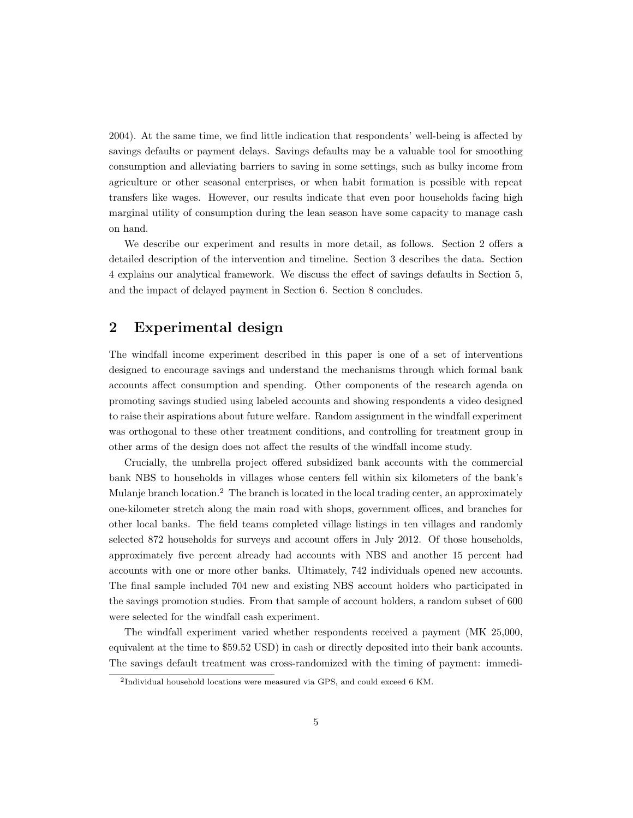2004). At the same time, we find little indication that respondents' well-being is affected by savings defaults or payment delays. Savings defaults may be a valuable tool for smoothing consumption and alleviating barriers to saving in some settings, such as bulky income from agriculture or other seasonal enterprises, or when habit formation is possible with repeat transfers like wages. However, our results indicate that even poor households facing high marginal utility of consumption during the lean season have some capacity to manage cash on hand.

We describe our experiment and results in more detail, as follows. Section 2 offers a detailed description of the intervention and timeline. Section 3 describes the data. Section 4 explains our analytical framework. We discuss the effect of savings defaults in Section 5, and the impact of delayed payment in Section 6. Section 8 concludes.

# 2 Experimental design

The windfall income experiment described in this paper is one of a set of interventions designed to encourage savings and understand the mechanisms through which formal bank accounts affect consumption and spending. Other components of the research agenda on promoting savings studied using labeled accounts and showing respondents a video designed to raise their aspirations about future welfare. Random assignment in the windfall experiment was orthogonal to these other treatment conditions, and controlling for treatment group in other arms of the design does not affect the results of the windfall income study.

Crucially, the umbrella project offered subsidized bank accounts with the commercial bank NBS to households in villages whose centers fell within six kilometers of the bank's Mulanje branch location.<sup>2</sup> The branch is located in the local trading center, an approximately one-kilometer stretch along the main road with shops, government offices, and branches for other local banks. The field teams completed village listings in ten villages and randomly selected 872 households for surveys and account offers in July 2012. Of those households, approximately five percent already had accounts with NBS and another 15 percent had accounts with one or more other banks. Ultimately, 742 individuals opened new accounts. The final sample included 704 new and existing NBS account holders who participated in the savings promotion studies. From that sample of account holders, a random subset of 600 were selected for the windfall cash experiment.

The windfall experiment varied whether respondents received a payment (MK 25,000, equivalent at the time to \$59.52 USD) in cash or directly deposited into their bank accounts. The savings default treatment was cross-randomized with the timing of payment: immedi-

<sup>&</sup>lt;sup>2</sup>Individual household locations were measured via GPS, and could exceed 6 KM.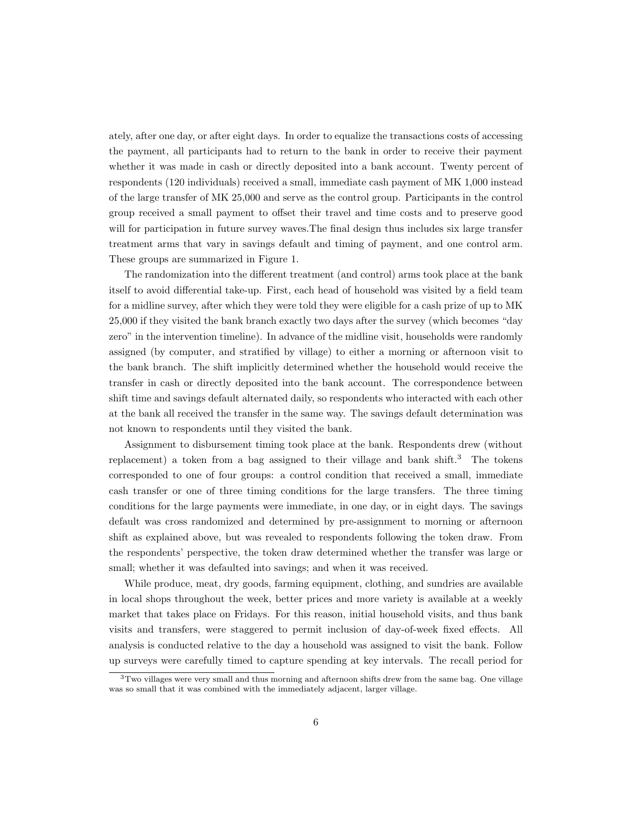ately, after one day, or after eight days. In order to equalize the transactions costs of accessing the payment, all participants had to return to the bank in order to receive their payment whether it was made in cash or directly deposited into a bank account. Twenty percent of respondents (120 individuals) received a small, immediate cash payment of MK 1,000 instead of the large transfer of MK 25,000 and serve as the control group. Participants in the control group received a small payment to offset their travel and time costs and to preserve good will for participation in future survey waves.The final design thus includes six large transfer treatment arms that vary in savings default and timing of payment, and one control arm. These groups are summarized in Figure 1.

The randomization into the different treatment (and control) arms took place at the bank itself to avoid differential take-up. First, each head of household was visited by a field team for a midline survey, after which they were told they were eligible for a cash prize of up to MK 25,000 if they visited the bank branch exactly two days after the survey (which becomes "day zero" in the intervention timeline). In advance of the midline visit, households were randomly assigned (by computer, and stratified by village) to either a morning or afternoon visit to the bank branch. The shift implicitly determined whether the household would receive the transfer in cash or directly deposited into the bank account. The correspondence between shift time and savings default alternated daily, so respondents who interacted with each other at the bank all received the transfer in the same way. The savings default determination was not known to respondents until they visited the bank.

Assignment to disbursement timing took place at the bank. Respondents drew (without replacement) a token from a bag assigned to their village and bank shift.<sup>3</sup> The tokens corresponded to one of four groups: a control condition that received a small, immediate cash transfer or one of three timing conditions for the large transfers. The three timing conditions for the large payments were immediate, in one day, or in eight days. The savings default was cross randomized and determined by pre-assignment to morning or afternoon shift as explained above, but was revealed to respondents following the token draw. From the respondents' perspective, the token draw determined whether the transfer was large or small; whether it was defaulted into savings; and when it was received.

While produce, meat, dry goods, farming equipment, clothing, and sundries are available in local shops throughout the week, better prices and more variety is available at a weekly market that takes place on Fridays. For this reason, initial household visits, and thus bank visits and transfers, were staggered to permit inclusion of day-of-week fixed effects. All analysis is conducted relative to the day a household was assigned to visit the bank. Follow up surveys were carefully timed to capture spending at key intervals. The recall period for

<sup>3</sup>Two villages were very small and thus morning and afternoon shifts drew from the same bag. One village was so small that it was combined with the immediately adjacent, larger village.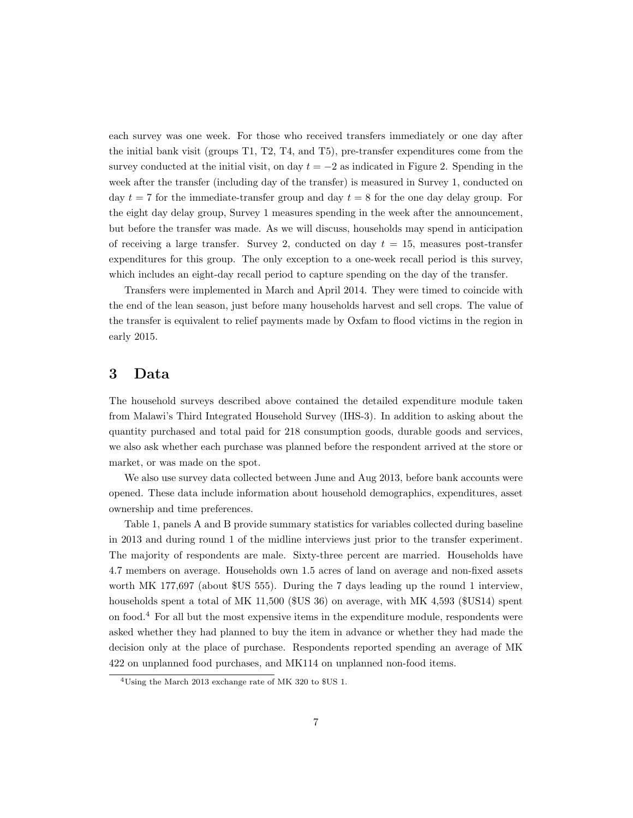each survey was one week. For those who received transfers immediately or one day after the initial bank visit (groups T1, T2, T4, and T5), pre-transfer expenditures come from the survey conducted at the initial visit, on day  $t = -2$  as indicated in Figure 2. Spending in the week after the transfer (including day of the transfer) is measured in Survey 1, conducted on day  $t = 7$  for the immediate-transfer group and day  $t = 8$  for the one day delay group. For the eight day delay group, Survey 1 measures spending in the week after the announcement, but before the transfer was made. As we will discuss, households may spend in anticipation of receiving a large transfer. Survey 2, conducted on day  $t = 15$ , measures post-transfer expenditures for this group. The only exception to a one-week recall period is this survey, which includes an eight-day recall period to capture spending on the day of the transfer.

Transfers were implemented in March and April 2014. They were timed to coincide with the end of the lean season, just before many households harvest and sell crops. The value of the transfer is equivalent to relief payments made by Oxfam to flood victims in the region in early 2015.

# 3 Data

The household surveys described above contained the detailed expenditure module taken from Malawi's Third Integrated Household Survey (IHS-3). In addition to asking about the quantity purchased and total paid for 218 consumption goods, durable goods and services, we also ask whether each purchase was planned before the respondent arrived at the store or market, or was made on the spot.

We also use survey data collected between June and Aug 2013, before bank accounts were opened. These data include information about household demographics, expenditures, asset ownership and time preferences.

Table 1, panels A and B provide summary statistics for variables collected during baseline in 2013 and during round 1 of the midline interviews just prior to the transfer experiment. The majority of respondents are male. Sixty-three percent are married. Households have 4.7 members on average. Households own 1.5 acres of land on average and non-fixed assets worth MK 177,697 (about \$US 555). During the 7 days leading up the round 1 interview, households spent a total of MK 11,500 (\$US 36) on average, with MK 4,593 (\$US14) spent on food.<sup>4</sup> For all but the most expensive items in the expenditure module, respondents were asked whether they had planned to buy the item in advance or whether they had made the decision only at the place of purchase. Respondents reported spending an average of MK 422 on unplanned food purchases, and MK114 on unplanned non-food items.

 $4$ Using the March 2013 exchange rate of MK 320 to \$US 1.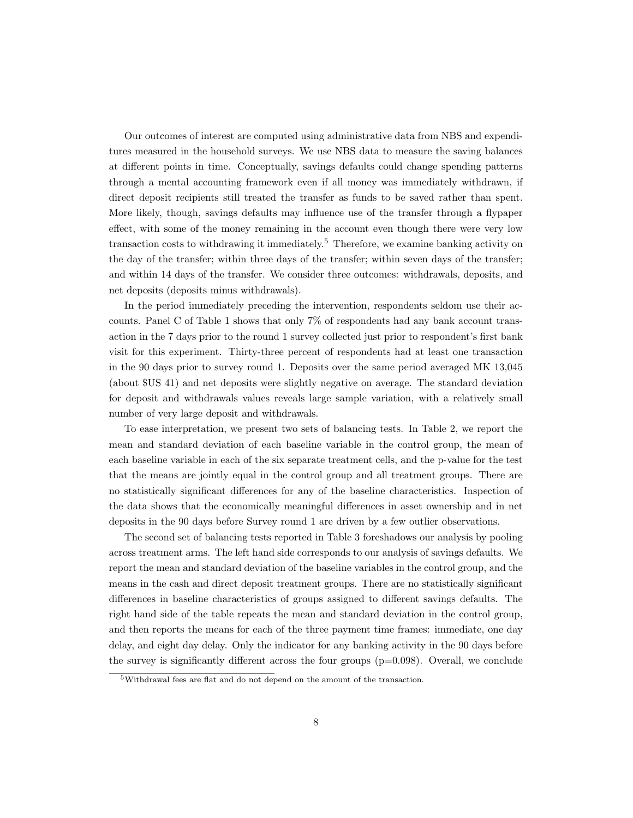Our outcomes of interest are computed using administrative data from NBS and expenditures measured in the household surveys. We use NBS data to measure the saving balances at different points in time. Conceptually, savings defaults could change spending patterns through a mental accounting framework even if all money was immediately withdrawn, if direct deposit recipients still treated the transfer as funds to be saved rather than spent. More likely, though, savings defaults may influence use of the transfer through a flypaper effect, with some of the money remaining in the account even though there were very low transaction costs to withdrawing it immediately.<sup>5</sup> Therefore, we examine banking activity on the day of the transfer; within three days of the transfer; within seven days of the transfer; and within 14 days of the transfer. We consider three outcomes: withdrawals, deposits, and net deposits (deposits minus withdrawals).

In the period immediately preceding the intervention, respondents seldom use their accounts. Panel C of Table 1 shows that only 7% of respondents had any bank account transaction in the 7 days prior to the round 1 survey collected just prior to respondent's first bank visit for this experiment. Thirty-three percent of respondents had at least one transaction in the 90 days prior to survey round 1. Deposits over the same period averaged MK 13,045 (about \$US 41) and net deposits were slightly negative on average. The standard deviation for deposit and withdrawals values reveals large sample variation, with a relatively small number of very large deposit and withdrawals.

To ease interpretation, we present two sets of balancing tests. In Table 2, we report the mean and standard deviation of each baseline variable in the control group, the mean of each baseline variable in each of the six separate treatment cells, and the p-value for the test that the means are jointly equal in the control group and all treatment groups. There are no statistically significant differences for any of the baseline characteristics. Inspection of the data shows that the economically meaningful differences in asset ownership and in net deposits in the 90 days before Survey round 1 are driven by a few outlier observations.

The second set of balancing tests reported in Table 3 foreshadows our analysis by pooling across treatment arms. The left hand side corresponds to our analysis of savings defaults. We report the mean and standard deviation of the baseline variables in the control group, and the means in the cash and direct deposit treatment groups. There are no statistically significant differences in baseline characteristics of groups assigned to different savings defaults. The right hand side of the table repeats the mean and standard deviation in the control group, and then reports the means for each of the three payment time frames: immediate, one day delay, and eight day delay. Only the indicator for any banking activity in the 90 days before the survey is significantly different across the four groups  $(p=0.098)$ . Overall, we conclude

<sup>5</sup>Withdrawal fees are flat and do not depend on the amount of the transaction.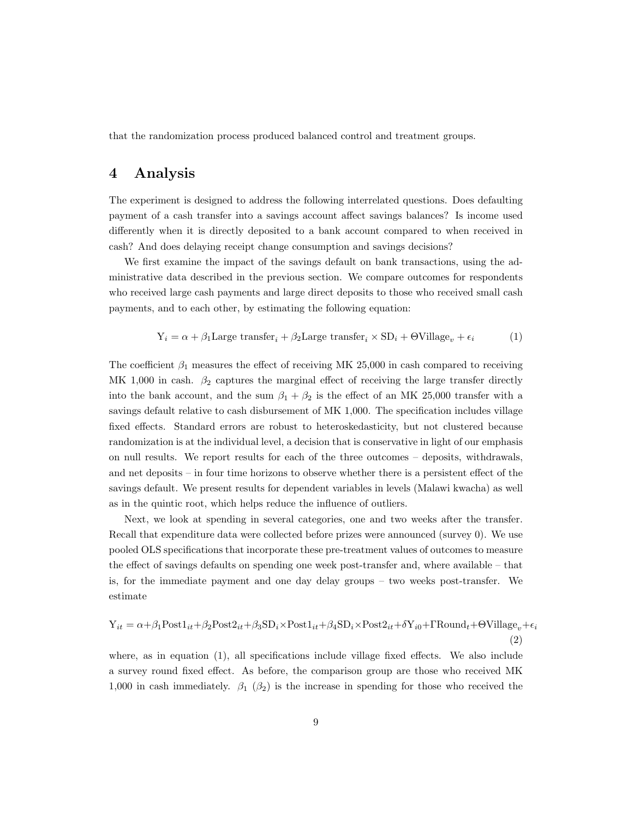that the randomization process produced balanced control and treatment groups.

# 4 Analysis

The experiment is designed to address the following interrelated questions. Does defaulting payment of a cash transfer into a savings account affect savings balances? Is income used differently when it is directly deposited to a bank account compared to when received in cash? And does delaying receipt change consumption and savings decisions?

We first examine the impact of the savings default on bank transactions, using the administrative data described in the previous section. We compare outcomes for respondents who received large cash payments and large direct deposits to those who received small cash payments, and to each other, by estimating the following equation:

$$
Y_i = \alpha + \beta_1 \text{Large transfer}_i + \beta_2 \text{Large transfer}_i \times SD_i + \text{OVillage}_v + \epsilon_i \tag{1}
$$

The coefficient  $\beta_1$  measures the effect of receiving MK 25,000 in cash compared to receiving MK 1,000 in cash.  $\beta_2$  captures the marginal effect of receiving the large transfer directly into the bank account, and the sum  $\beta_1 + \beta_2$  is the effect of an MK 25,000 transfer with a savings default relative to cash disbursement of MK 1,000. The specification includes village fixed effects. Standard errors are robust to heteroskedasticity, but not clustered because randomization is at the individual level, a decision that is conservative in light of our emphasis on null results. We report results for each of the three outcomes – deposits, withdrawals, and net deposits – in four time horizons to observe whether there is a persistent effect of the savings default. We present results for dependent variables in levels (Malawi kwacha) as well as in the quintic root, which helps reduce the influence of outliers.

Next, we look at spending in several categories, one and two weeks after the transfer. Recall that expenditure data were collected before prizes were announced (survey 0). We use pooled OLS specifications that incorporate these pre-treatment values of outcomes to measure the effect of savings defaults on spending one week post-transfer and, where available – that is, for the immediate payment and one day delay groups – two weeks post-transfer. We estimate

$$
Y_{it} = \alpha + \beta_1 \text{Post1}_{it} + \beta_2 \text{Post2}_{it} + \beta_3 \text{SD}_i \times \text{Post1}_{it} + \beta_4 \text{SD}_i \times \text{Post2}_{it} + \delta Y_{i0} + \text{TRound}_t + \Theta \text{Village}_v + \epsilon_i
$$
\n(2)

where, as in equation (1), all specifications include village fixed effects. We also include a survey round fixed effect. As before, the comparison group are those who received MK 1,000 in cash immediately.  $\beta_1$  ( $\beta_2$ ) is the increase in spending for those who received the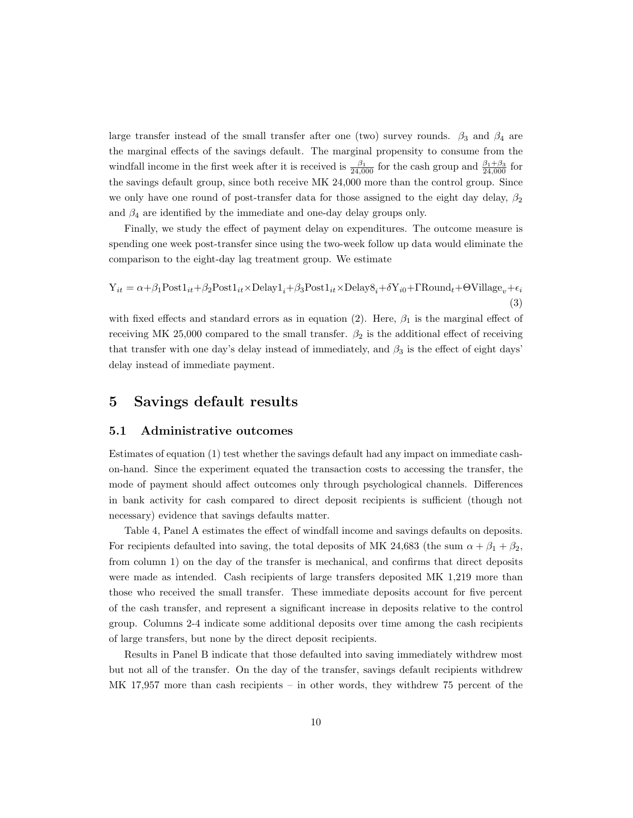large transfer instead of the small transfer after one (two) survey rounds.  $\beta_3$  and  $\beta_4$  are the marginal effects of the savings default. The marginal propensity to consume from the windfall income in the first week after it is received is  $\frac{\beta_1}{24,000}$  for the cash group and  $\frac{\beta_1+\beta_3}{24,000}$  for the savings default group, since both receive MK 24,000 more than the control group. Since we only have one round of post-transfer data for those assigned to the eight day delay,  $\beta_2$ and  $\beta_4$  are identified by the immediate and one-day delay groups only.

Finally, we study the effect of payment delay on expenditures. The outcome measure is spending one week post-transfer since using the two-week follow up data would eliminate the comparison to the eight-day lag treatment group. We estimate

 $Y_{it} = \alpha + \beta_1 \text{Post1}_{it} + \beta_2 \text{Post1}_{it} \times \text{Delay1}_{i} + \beta_3 \text{Post1}_{it} \times \text{Delay8}_{i} + \delta Y_{i0} + \text{TRound}_{t} + \text{OVillage}_{v} + \epsilon_i$ (3)

with fixed effects and standard errors as in equation (2). Here,  $\beta_1$  is the marginal effect of receiving MK 25,000 compared to the small transfer.  $\beta_2$  is the additional effect of receiving that transfer with one day's delay instead of immediately, and  $\beta_3$  is the effect of eight days' delay instead of immediate payment.

# 5 Savings default results

#### 5.1 Administrative outcomes

Estimates of equation (1) test whether the savings default had any impact on immediate cashon-hand. Since the experiment equated the transaction costs to accessing the transfer, the mode of payment should affect outcomes only through psychological channels. Differences in bank activity for cash compared to direct deposit recipients is sufficient (though not necessary) evidence that savings defaults matter.

Table 4, Panel A estimates the effect of windfall income and savings defaults on deposits. For recipients defaulted into saving, the total deposits of MK 24,683 (the sum  $\alpha + \beta_1 + \beta_2$ , from column 1) on the day of the transfer is mechanical, and confirms that direct deposits were made as intended. Cash recipients of large transfers deposited MK 1,219 more than those who received the small transfer. These immediate deposits account for five percent of the cash transfer, and represent a significant increase in deposits relative to the control group. Columns 2-4 indicate some additional deposits over time among the cash recipients of large transfers, but none by the direct deposit recipients.

Results in Panel B indicate that those defaulted into saving immediately withdrew most but not all of the transfer. On the day of the transfer, savings default recipients withdrew MK 17,957 more than cash recipients – in other words, they withdrew 75 percent of the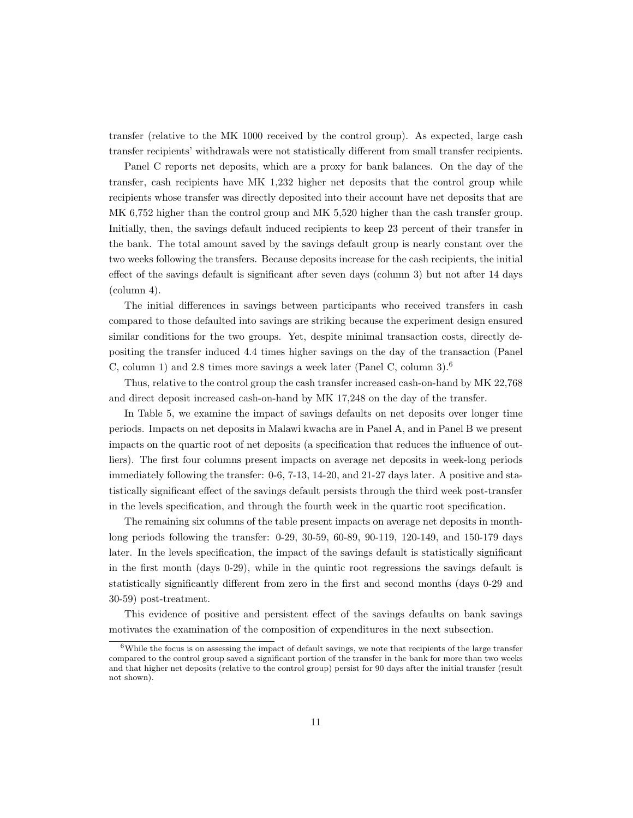transfer (relative to the MK 1000 received by the control group). As expected, large cash transfer recipients' withdrawals were not statistically different from small transfer recipients.

Panel C reports net deposits, which are a proxy for bank balances. On the day of the transfer, cash recipients have MK 1,232 higher net deposits that the control group while recipients whose transfer was directly deposited into their account have net deposits that are MK 6,752 higher than the control group and MK 5,520 higher than the cash transfer group. Initially, then, the savings default induced recipients to keep 23 percent of their transfer in the bank. The total amount saved by the savings default group is nearly constant over the two weeks following the transfers. Because deposits increase for the cash recipients, the initial effect of the savings default is significant after seven days (column 3) but not after 14 days (column 4).

The initial differences in savings between participants who received transfers in cash compared to those defaulted into savings are striking because the experiment design ensured similar conditions for the two groups. Yet, despite minimal transaction costs, directly depositing the transfer induced 4.4 times higher savings on the day of the transaction (Panel C, column 1) and 2.8 times more savings a week later (Panel C, column 3).<sup>6</sup>

Thus, relative to the control group the cash transfer increased cash-on-hand by MK 22,768 and direct deposit increased cash-on-hand by MK 17,248 on the day of the transfer.

In Table 5, we examine the impact of savings defaults on net deposits over longer time periods. Impacts on net deposits in Malawi kwacha are in Panel A, and in Panel B we present impacts on the quartic root of net deposits (a specification that reduces the influence of outliers). The first four columns present impacts on average net deposits in week-long periods immediately following the transfer: 0-6, 7-13, 14-20, and 21-27 days later. A positive and statistically significant effect of the savings default persists through the third week post-transfer in the levels specification, and through the fourth week in the quartic root specification.

The remaining six columns of the table present impacts on average net deposits in monthlong periods following the transfer: 0-29, 30-59, 60-89, 90-119, 120-149, and 150-179 days later. In the levels specification, the impact of the savings default is statistically significant in the first month (days 0-29), while in the quintic root regressions the savings default is statistically significantly different from zero in the first and second months (days 0-29 and 30-59) post-treatment.

This evidence of positive and persistent effect of the savings defaults on bank savings motivates the examination of the composition of expenditures in the next subsection.

 $6$ While the focus is on assessing the impact of default savings, we note that recipients of the large transfer compared to the control group saved a significant portion of the transfer in the bank for more than two weeks and that higher net deposits (relative to the control group) persist for 90 days after the initial transfer (result not shown).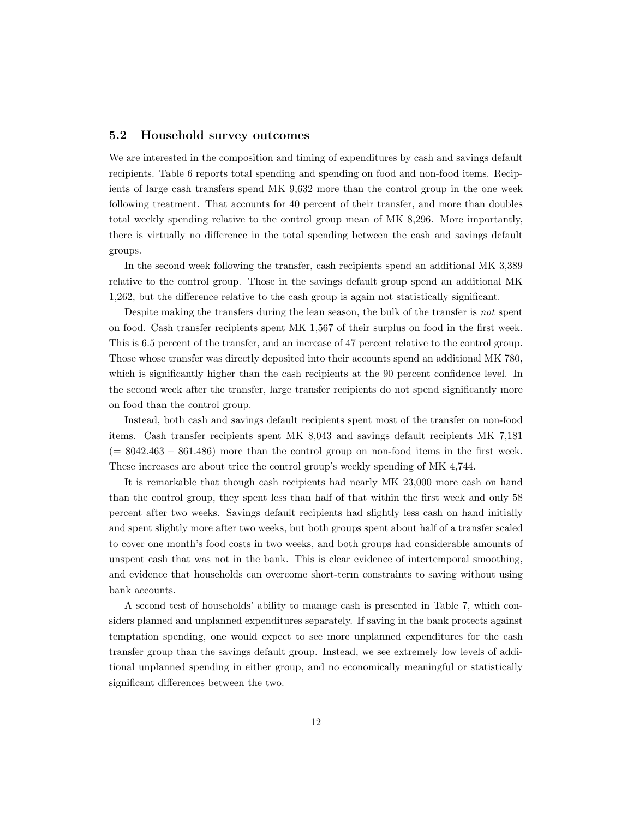#### 5.2 Household survey outcomes

We are interested in the composition and timing of expenditures by cash and savings default recipients. Table 6 reports total spending and spending on food and non-food items. Recipients of large cash transfers spend MK 9,632 more than the control group in the one week following treatment. That accounts for 40 percent of their transfer, and more than doubles total weekly spending relative to the control group mean of MK 8,296. More importantly, there is virtually no difference in the total spending between the cash and savings default groups.

In the second week following the transfer, cash recipients spend an additional MK 3,389 relative to the control group. Those in the savings default group spend an additional MK 1,262, but the difference relative to the cash group is again not statistically significant.

Despite making the transfers during the lean season, the bulk of the transfer is not spent on food. Cash transfer recipients spent MK 1,567 of their surplus on food in the first week. This is 6.5 percent of the transfer, and an increase of 47 percent relative to the control group. Those whose transfer was directly deposited into their accounts spend an additional MK 780, which is significantly higher than the cash recipients at the 90 percent confidence level. In the second week after the transfer, large transfer recipients do not spend significantly more on food than the control group.

Instead, both cash and savings default recipients spent most of the transfer on non-food items. Cash transfer recipients spent MK 8,043 and savings default recipients MK 7,181  $(= 8042.463 - 861.486)$  more than the control group on non-food items in the first week. These increases are about trice the control group's weekly spending of MK 4,744.

It is remarkable that though cash recipients had nearly MK 23,000 more cash on hand than the control group, they spent less than half of that within the first week and only 58 percent after two weeks. Savings default recipients had slightly less cash on hand initially and spent slightly more after two weeks, but both groups spent about half of a transfer scaled to cover one month's food costs in two weeks, and both groups had considerable amounts of unspent cash that was not in the bank. This is clear evidence of intertemporal smoothing, and evidence that households can overcome short-term constraints to saving without using bank accounts.

A second test of households' ability to manage cash is presented in Table 7, which considers planned and unplanned expenditures separately. If saving in the bank protects against temptation spending, one would expect to see more unplanned expenditures for the cash transfer group than the savings default group. Instead, we see extremely low levels of additional unplanned spending in either group, and no economically meaningful or statistically significant differences between the two.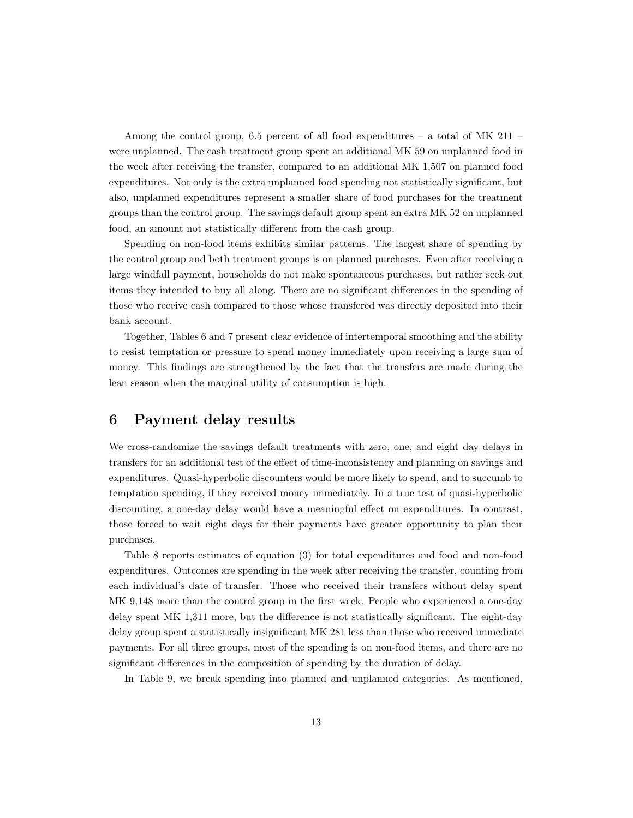Among the control group, 6.5 percent of all food expenditures – a total of MK 211 – were unplanned. The cash treatment group spent an additional MK 59 on unplanned food in the week after receiving the transfer, compared to an additional MK 1,507 on planned food expenditures. Not only is the extra unplanned food spending not statistically significant, but also, unplanned expenditures represent a smaller share of food purchases for the treatment groups than the control group. The savings default group spent an extra MK 52 on unplanned food, an amount not statistically different from the cash group.

Spending on non-food items exhibits similar patterns. The largest share of spending by the control group and both treatment groups is on planned purchases. Even after receiving a large windfall payment, households do not make spontaneous purchases, but rather seek out items they intended to buy all along. There are no significant differences in the spending of those who receive cash compared to those whose transfered was directly deposited into their bank account.

Together, Tables 6 and 7 present clear evidence of intertemporal smoothing and the ability to resist temptation or pressure to spend money immediately upon receiving a large sum of money. This findings are strengthened by the fact that the transfers are made during the lean season when the marginal utility of consumption is high.

# 6 Payment delay results

We cross-randomize the savings default treatments with zero, one, and eight day delays in transfers for an additional test of the effect of time-inconsistency and planning on savings and expenditures. Quasi-hyperbolic discounters would be more likely to spend, and to succumb to temptation spending, if they received money immediately. In a true test of quasi-hyperbolic discounting, a one-day delay would have a meaningful effect on expenditures. In contrast, those forced to wait eight days for their payments have greater opportunity to plan their purchases.

Table 8 reports estimates of equation (3) for total expenditures and food and non-food expenditures. Outcomes are spending in the week after receiving the transfer, counting from each individual's date of transfer. Those who received their transfers without delay spent MK 9,148 more than the control group in the first week. People who experienced a one-day delay spent MK 1,311 more, but the difference is not statistically significant. The eight-day delay group spent a statistically insignificant MK 281 less than those who received immediate payments. For all three groups, most of the spending is on non-food items, and there are no significant differences in the composition of spending by the duration of delay.

In Table 9, we break spending into planned and unplanned categories. As mentioned,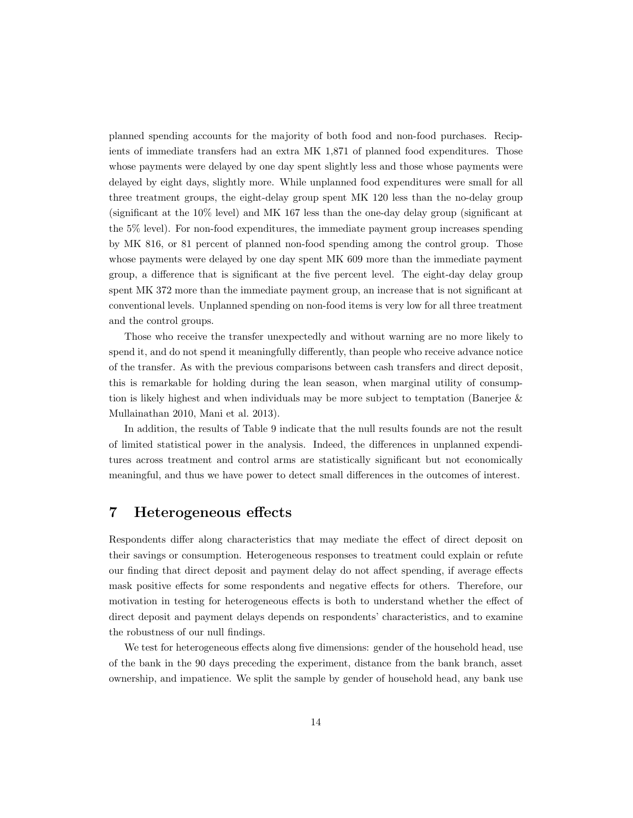planned spending accounts for the majority of both food and non-food purchases. Recipients of immediate transfers had an extra MK 1,871 of planned food expenditures. Those whose payments were delayed by one day spent slightly less and those whose payments were delayed by eight days, slightly more. While unplanned food expenditures were small for all three treatment groups, the eight-delay group spent MK 120 less than the no-delay group (significant at the 10% level) and MK 167 less than the one-day delay group (significant at the 5% level). For non-food expenditures, the immediate payment group increases spending by MK 816, or 81 percent of planned non-food spending among the control group. Those whose payments were delayed by one day spent MK 609 more than the immediate payment group, a difference that is significant at the five percent level. The eight-day delay group spent MK 372 more than the immediate payment group, an increase that is not significant at conventional levels. Unplanned spending on non-food items is very low for all three treatment and the control groups.

Those who receive the transfer unexpectedly and without warning are no more likely to spend it, and do not spend it meaningfully differently, than people who receive advance notice of the transfer. As with the previous comparisons between cash transfers and direct deposit, this is remarkable for holding during the lean season, when marginal utility of consumption is likely highest and when individuals may be more subject to temptation (Banerjee & Mullainathan 2010, Mani et al. 2013).

In addition, the results of Table 9 indicate that the null results founds are not the result of limited statistical power in the analysis. Indeed, the differences in unplanned expenditures across treatment and control arms are statistically significant but not economically meaningful, and thus we have power to detect small differences in the outcomes of interest.

# 7 Heterogeneous effects

Respondents differ along characteristics that may mediate the effect of direct deposit on their savings or consumption. Heterogeneous responses to treatment could explain or refute our finding that direct deposit and payment delay do not affect spending, if average effects mask positive effects for some respondents and negative effects for others. Therefore, our motivation in testing for heterogeneous effects is both to understand whether the effect of direct deposit and payment delays depends on respondents' characteristics, and to examine the robustness of our null findings.

We test for heterogeneous effects along five dimensions: gender of the household head, use of the bank in the 90 days preceding the experiment, distance from the bank branch, asset ownership, and impatience. We split the sample by gender of household head, any bank use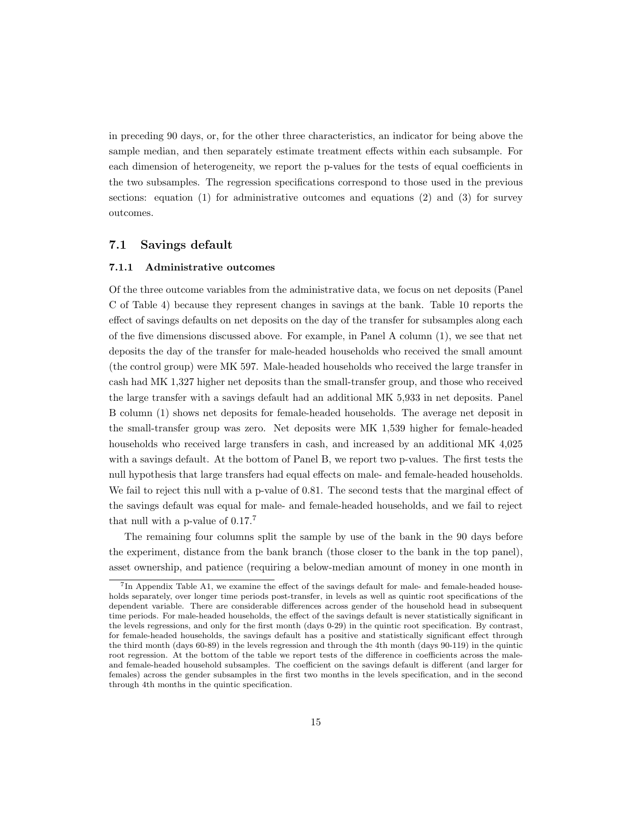in preceding 90 days, or, for the other three characteristics, an indicator for being above the sample median, and then separately estimate treatment effects within each subsample. For each dimension of heterogeneity, we report the p-values for the tests of equal coefficients in the two subsamples. The regression specifications correspond to those used in the previous sections: equation (1) for administrative outcomes and equations (2) and (3) for survey outcomes.

#### 7.1 Savings default

#### 7.1.1 Administrative outcomes

Of the three outcome variables from the administrative data, we focus on net deposits (Panel C of Table 4) because they represent changes in savings at the bank. Table 10 reports the effect of savings defaults on net deposits on the day of the transfer for subsamples along each of the five dimensions discussed above. For example, in Panel A column (1), we see that net deposits the day of the transfer for male-headed households who received the small amount (the control group) were MK 597. Male-headed households who received the large transfer in cash had MK 1,327 higher net deposits than the small-transfer group, and those who received the large transfer with a savings default had an additional MK 5,933 in net deposits. Panel B column (1) shows net deposits for female-headed households. The average net deposit in the small-transfer group was zero. Net deposits were MK 1,539 higher for female-headed households who received large transfers in cash, and increased by an additional MK 4,025 with a savings default. At the bottom of Panel B, we report two p-values. The first tests the null hypothesis that large transfers had equal effects on male- and female-headed households. We fail to reject this null with a p-value of 0.81. The second tests that the marginal effect of the savings default was equal for male- and female-headed households, and we fail to reject that null with a p-value of  $0.17<sup>7</sup>$ 

The remaining four columns split the sample by use of the bank in the 90 days before the experiment, distance from the bank branch (those closer to the bank in the top panel), asset ownership, and patience (requiring a below-median amount of money in one month in

<sup>&</sup>lt;sup>7</sup>In Appendix Table A1, we examine the effect of the savings default for male- and female-headed households separately, over longer time periods post-transfer, in levels as well as quintic root specifications of the dependent variable. There are considerable differences across gender of the household head in subsequent time periods. For male-headed households, the effect of the savings default is never statistically significant in the levels regressions, and only for the first month (days 0-29) in the quintic root specification. By contrast, for female-headed households, the savings default has a positive and statistically significant effect through the third month (days 60-89) in the levels regression and through the 4th month (days 90-119) in the quintic root regression. At the bottom of the table we report tests of the difference in coefficients across the maleand female-headed household subsamples. The coefficient on the savings default is different (and larger for females) across the gender subsamples in the first two months in the levels specification, and in the second through 4th months in the quintic specification.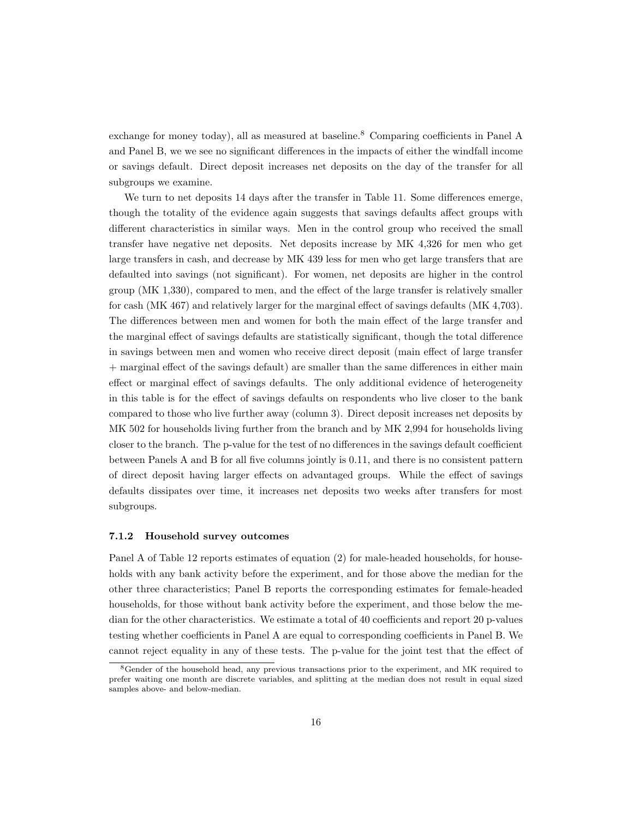exchange for money today), all as measured at baseline.<sup>8</sup> Comparing coefficients in Panel A and Panel B, we we see no significant differences in the impacts of either the windfall income or savings default. Direct deposit increases net deposits on the day of the transfer for all subgroups we examine.

We turn to net deposits 14 days after the transfer in Table 11. Some differences emerge, though the totality of the evidence again suggests that savings defaults affect groups with different characteristics in similar ways. Men in the control group who received the small transfer have negative net deposits. Net deposits increase by MK 4,326 for men who get large transfers in cash, and decrease by MK 439 less for men who get large transfers that are defaulted into savings (not significant). For women, net deposits are higher in the control group (MK 1,330), compared to men, and the effect of the large transfer is relatively smaller for cash (MK 467) and relatively larger for the marginal effect of savings defaults (MK 4,703). The differences between men and women for both the main effect of the large transfer and the marginal effect of savings defaults are statistically significant, though the total difference in savings between men and women who receive direct deposit (main effect of large transfer + marginal effect of the savings default) are smaller than the same differences in either main effect or marginal effect of savings defaults. The only additional evidence of heterogeneity in this table is for the effect of savings defaults on respondents who live closer to the bank compared to those who live further away (column 3). Direct deposit increases net deposits by MK 502 for households living further from the branch and by MK 2,994 for households living closer to the branch. The p-value for the test of no differences in the savings default coefficient between Panels A and B for all five columns jointly is 0.11, and there is no consistent pattern of direct deposit having larger effects on advantaged groups. While the effect of savings defaults dissipates over time, it increases net deposits two weeks after transfers for most subgroups.

#### 7.1.2 Household survey outcomes

Panel A of Table 12 reports estimates of equation (2) for male-headed households, for households with any bank activity before the experiment, and for those above the median for the other three characteristics; Panel B reports the corresponding estimates for female-headed households, for those without bank activity before the experiment, and those below the median for the other characteristics. We estimate a total of 40 coefficients and report 20 p-values testing whether coefficients in Panel A are equal to corresponding coefficients in Panel B. We cannot reject equality in any of these tests. The p-value for the joint test that the effect of

<sup>8</sup>Gender of the household head, any previous transactions prior to the experiment, and MK required to prefer waiting one month are discrete variables, and splitting at the median does not result in equal sized samples above- and below-median.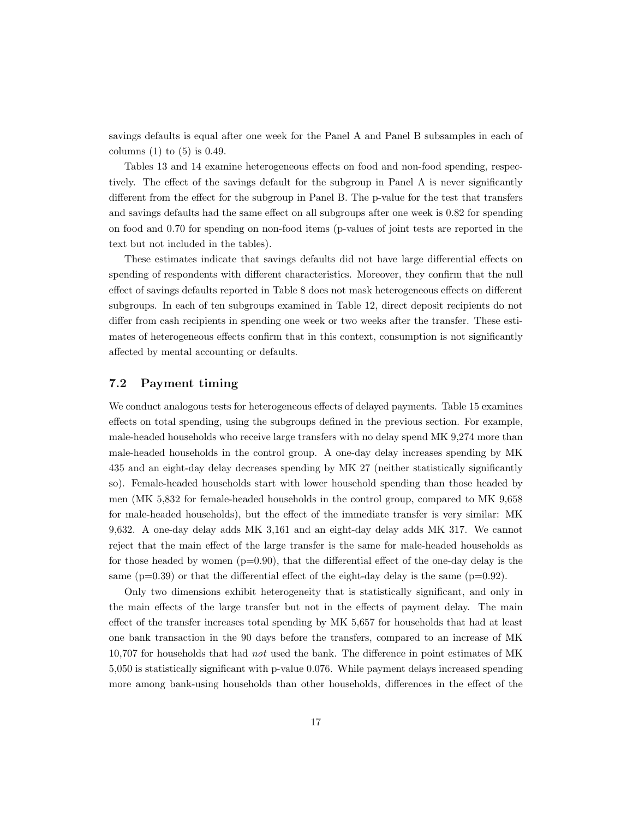savings defaults is equal after one week for the Panel A and Panel B subsamples in each of columns  $(1)$  to  $(5)$  is 0.49.

Tables 13 and 14 examine heterogeneous effects on food and non-food spending, respectively. The effect of the savings default for the subgroup in Panel A is never significantly different from the effect for the subgroup in Panel B. The p-value for the test that transfers and savings defaults had the same effect on all subgroups after one week is 0.82 for spending on food and 0.70 for spending on non-food items (p-values of joint tests are reported in the text but not included in the tables).

These estimates indicate that savings defaults did not have large differential effects on spending of respondents with different characteristics. Moreover, they confirm that the null effect of savings defaults reported in Table 8 does not mask heterogeneous effects on different subgroups. In each of ten subgroups examined in Table 12, direct deposit recipients do not differ from cash recipients in spending one week or two weeks after the transfer. These estimates of heterogeneous effects confirm that in this context, consumption is not significantly affected by mental accounting or defaults.

## 7.2 Payment timing

We conduct analogous tests for heterogeneous effects of delayed payments. Table 15 examines effects on total spending, using the subgroups defined in the previous section. For example, male-headed households who receive large transfers with no delay spend MK 9,274 more than male-headed households in the control group. A one-day delay increases spending by MK 435 and an eight-day delay decreases spending by MK 27 (neither statistically significantly so). Female-headed households start with lower household spending than those headed by men (MK 5,832 for female-headed households in the control group, compared to MK 9,658 for male-headed households), but the effect of the immediate transfer is very similar: MK 9,632. A one-day delay adds MK 3,161 and an eight-day delay adds MK 317. We cannot reject that the main effect of the large transfer is the same for male-headed households as for those headed by women  $(p=0.90)$ , that the differential effect of the one-day delay is the same  $(p=0.39)$  or that the differential effect of the eight-day delay is the same  $(p=0.92)$ .

Only two dimensions exhibit heterogeneity that is statistically significant, and only in the main effects of the large transfer but not in the effects of payment delay. The main effect of the transfer increases total spending by MK 5,657 for households that had at least one bank transaction in the 90 days before the transfers, compared to an increase of MK 10,707 for households that had not used the bank. The difference in point estimates of MK 5,050 is statistically significant with p-value 0.076. While payment delays increased spending more among bank-using households than other households, differences in the effect of the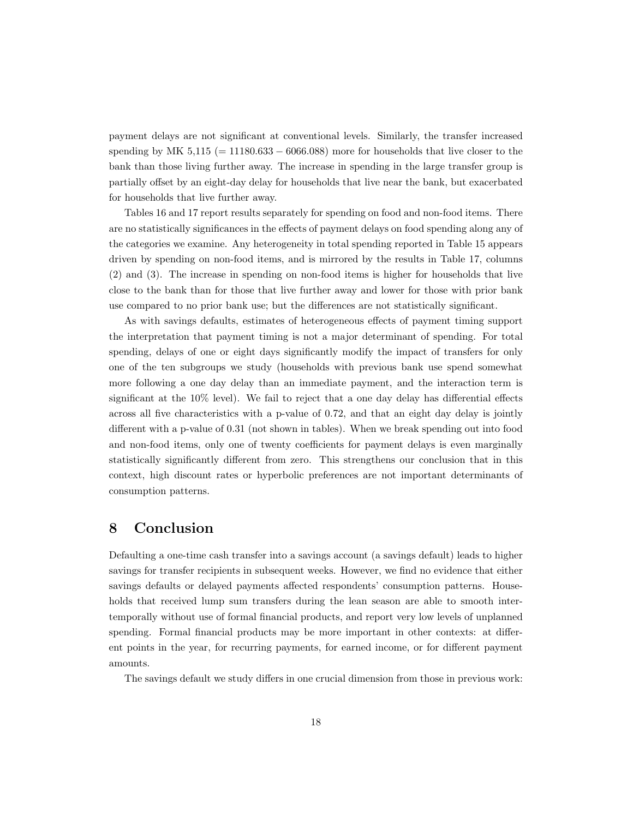payment delays are not significant at conventional levels. Similarly, the transfer increased spending by MK  $5,115$  (= 11180.633 – 6066.088) more for households that live closer to the bank than those living further away. The increase in spending in the large transfer group is partially offset by an eight-day delay for households that live near the bank, but exacerbated for households that live further away.

Tables 16 and 17 report results separately for spending on food and non-food items. There are no statistically significances in the effects of payment delays on food spending along any of the categories we examine. Any heterogeneity in total spending reported in Table 15 appears driven by spending on non-food items, and is mirrored by the results in Table 17, columns (2) and (3). The increase in spending on non-food items is higher for households that live close to the bank than for those that live further away and lower for those with prior bank use compared to no prior bank use; but the differences are not statistically significant.

As with savings defaults, estimates of heterogeneous effects of payment timing support the interpretation that payment timing is not a major determinant of spending. For total spending, delays of one or eight days significantly modify the impact of transfers for only one of the ten subgroups we study (households with previous bank use spend somewhat more following a one day delay than an immediate payment, and the interaction term is significant at the 10% level). We fail to reject that a one day delay has differential effects across all five characteristics with a p-value of 0.72, and that an eight day delay is jointly different with a p-value of 0.31 (not shown in tables). When we break spending out into food and non-food items, only one of twenty coefficients for payment delays is even marginally statistically significantly different from zero. This strengthens our conclusion that in this context, high discount rates or hyperbolic preferences are not important determinants of consumption patterns.

# 8 Conclusion

Defaulting a one-time cash transfer into a savings account (a savings default) leads to higher savings for transfer recipients in subsequent weeks. However, we find no evidence that either savings defaults or delayed payments affected respondents' consumption patterns. Households that received lump sum transfers during the lean season are able to smooth intertemporally without use of formal financial products, and report very low levels of unplanned spending. Formal financial products may be more important in other contexts: at different points in the year, for recurring payments, for earned income, or for different payment amounts.

The savings default we study differs in one crucial dimension from those in previous work: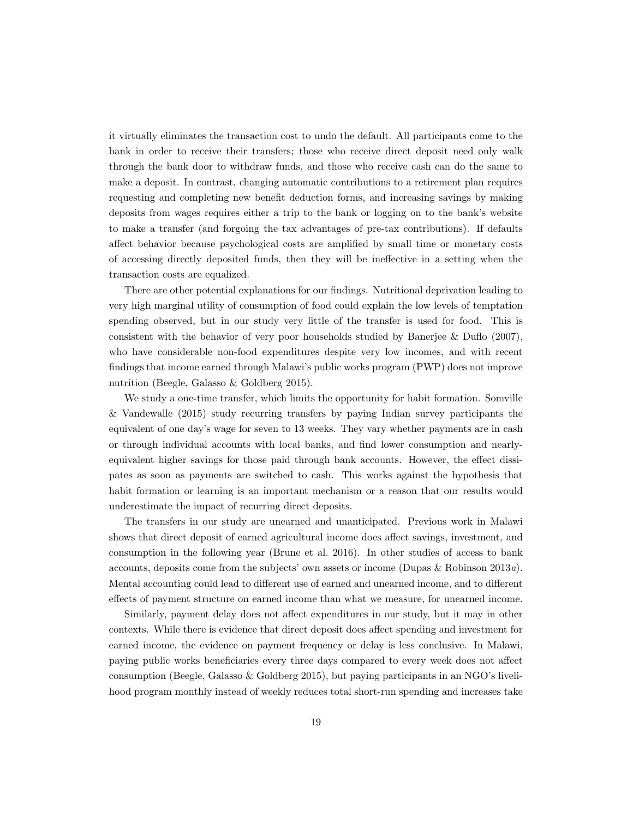it virtually eliminates the transaction cost to undo the default. All participants come to the bank in order to receive their transfers; those who receive direct deposit need only walk through the bank door to withdraw funds, and those who receive cash can do the same to make a deposit. In contrast, changing automatic contributions to a retirement plan requires requesting and completing new benefit deduction forms, and increasing savings by making deposits from wages requires either a trip to the bank or logging on to the bank's website to make a transfer (and forgoing the tax advantages of pre-tax contributions). If defaults affect behavior because psychological costs are amplified by small time or monetary costs of accessing directly deposited funds, then they will be ineffective in a setting when the transaction costs are equalized.

There are other potential explanations for our findings. Nutritional deprivation leading to very high marginal utility of consumption of food could explain the low levels of temptation spending observed, but in our study very little of the transfer is used for food. This is consistent with the behavior of very poor households studied by Banerjee & Duflo (2007), who have considerable non-food expenditures despite very low incomes, and with recent findings that income earned through Malawi's public works program (PWP) does not improve nutrition (Beegle, Galasso & Goldberg 2015).

We study a one-time transfer, which limits the opportunity for habit formation. Somville & Vandewalle (2015) study recurring transfers by paying Indian survey participants the equivalent of one day's wage for seven to 13 weeks. They vary whether payments are in cash or through individual accounts with local banks, and find lower consumption and nearlyequivalent higher savings for those paid through bank accounts. However, the effect dissipates as soon as payments are switched to cash. This works against the hypothesis that habit formation or learning is an important mechanism or a reason that our results would underestimate the impact of recurring direct deposits.

The transfers in our study are unearned and unanticipated. Previous work in Malawi shows that direct deposit of earned agricultural income does affect savings, investment, and consumption in the following year (Brune et al. 2016). In other studies of access to bank accounts, deposits come from the subjects' own assets or income (Dupas & Robinson 2013a). Mental accounting could lead to different use of earned and unearned income, and to different effects of payment structure on earned income than what we measure, for unearned income.

Similarly, payment delay does not affect expenditures in our study, but it may in other contexts. While there is evidence that direct deposit does affect spending and investment for earned income, the evidence on payment frequency or delay is less conclusive. In Malawi, paying public works beneficiaries every three days compared to every week does not affect consumption (Beegle, Galasso & Goldberg 2015), but paying participants in an NGO's livelihood program monthly instead of weekly reduces total short-run spending and increases take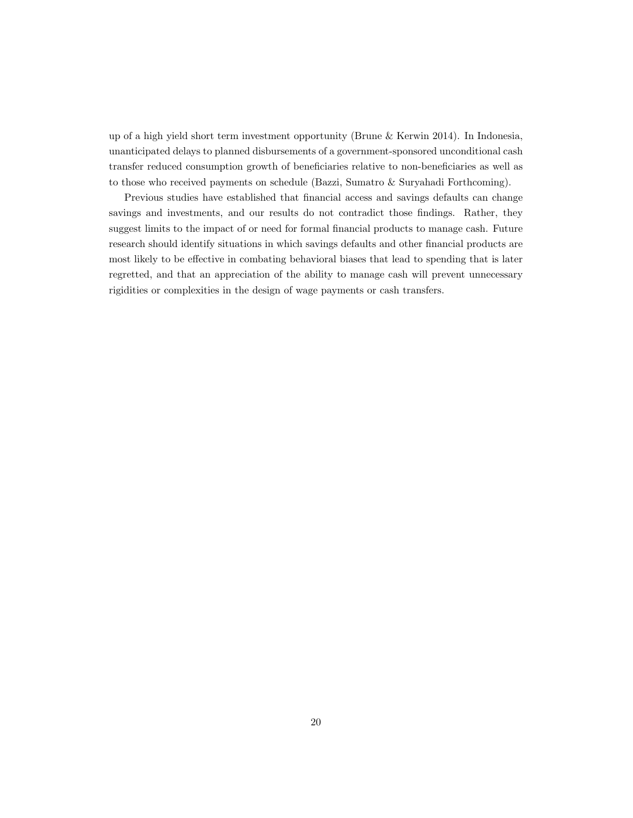up of a high yield short term investment opportunity (Brune & Kerwin 2014). In Indonesia, unanticipated delays to planned disbursements of a government-sponsored unconditional cash transfer reduced consumption growth of beneficiaries relative to non-beneficiaries as well as to those who received payments on schedule (Bazzi, Sumatro & Suryahadi Forthcoming).

Previous studies have established that financial access and savings defaults can change savings and investments, and our results do not contradict those findings. Rather, they suggest limits to the impact of or need for formal financial products to manage cash. Future research should identify situations in which savings defaults and other financial products are most likely to be effective in combating behavioral biases that lead to spending that is later regretted, and that an appreciation of the ability to manage cash will prevent unnecessary rigidities or complexities in the design of wage payments or cash transfers.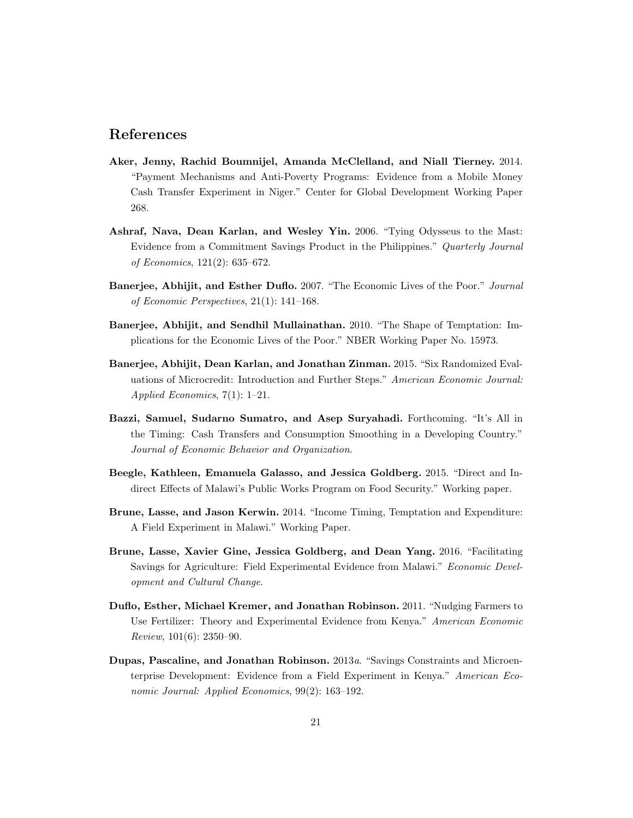# References

- Aker, Jenny, Rachid Boumnijel, Amanda McClelland, and Niall Tierney. 2014. "Payment Mechanisms and Anti-Poverty Programs: Evidence from a Mobile Money Cash Transfer Experiment in Niger." Center for Global Development Working Paper 268.
- Ashraf, Nava, Dean Karlan, and Wesley Yin. 2006. "Tying Odysseus to the Mast: Evidence from a Commitment Savings Product in the Philippines." Quarterly Journal of Economics, 121(2): 635–672.
- Banerjee, Abhijit, and Esther Duflo. 2007. "The Economic Lives of the Poor." Journal of Economic Perspectives, 21(1): 141–168.
- Banerjee, Abhijit, and Sendhil Mullainathan. 2010. "The Shape of Temptation: Implications for the Economic Lives of the Poor." NBER Working Paper No. 15973.
- Banerjee, Abhijit, Dean Karlan, and Jonathan Zinman. 2015. "Six Randomized Evaluations of Microcredit: Introduction and Further Steps." American Economic Journal: Applied Economics, 7(1): 1–21.
- Bazzi, Samuel, Sudarno Sumatro, and Asep Suryahadi. Forthcoming. "It's All in the Timing: Cash Transfers and Consumption Smoothing in a Developing Country." Journal of Economic Behavior and Organization.
- Beegle, Kathleen, Emanuela Galasso, and Jessica Goldberg. 2015. "Direct and Indirect Effects of Malawi's Public Works Program on Food Security." Working paper.
- Brune, Lasse, and Jason Kerwin. 2014. "Income Timing, Temptation and Expenditure: A Field Experiment in Malawi." Working Paper.
- Brune, Lasse, Xavier Gine, Jessica Goldberg, and Dean Yang. 2016. "Facilitating Savings for Agriculture: Field Experimental Evidence from Malawi." Economic Development and Cultural Change.
- Duflo, Esther, Michael Kremer, and Jonathan Robinson. 2011. "Nudging Farmers to Use Fertilizer: Theory and Experimental Evidence from Kenya." American Economic Review, 101(6): 2350–90.
- Dupas, Pascaline, and Jonathan Robinson. 2013a. "Savings Constraints and Microenterprise Development: Evidence from a Field Experiment in Kenya." American Economic Journal: Applied Economics, 99(2): 163–192.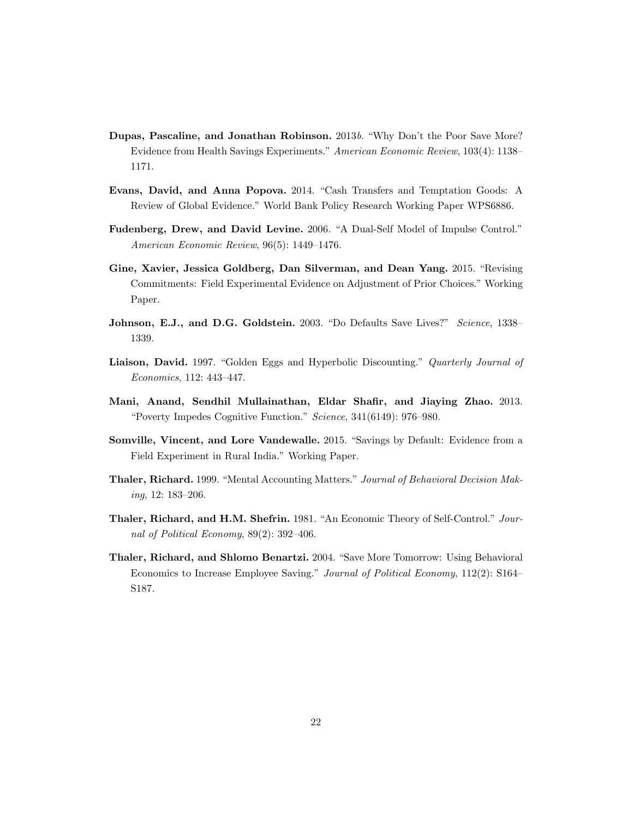- Dupas, Pascaline, and Jonathan Robinson. 2013b. "Why Don't the Poor Save More? Evidence from Health Savings Experiments." American Economic Review, 103(4): 1138– 1171.
- Evans, David, and Anna Popova. 2014. "Cash Transfers and Temptation Goods: A Review of Global Evidence." World Bank Policy Research Working Paper WPS6886.
- Fudenberg, Drew, and David Levine. 2006. "A Dual-Self Model of Impulse Control." American Economic Review, 96(5): 1449–1476.
- Gine, Xavier, Jessica Goldberg, Dan Silverman, and Dean Yang. 2015. "Revising Commitments: Field Experimental Evidence on Adjustment of Prior Choices." Working Paper.
- Johnson, E.J., and D.G. Goldstein. 2003. "Do Defaults Save Lives?" Science, 1338– 1339.
- Liaison, David. 1997. "Golden Eggs and Hyperbolic Discounting." Quarterly Journal of Economics, 112: 443–447.
- Mani, Anand, Sendhil Mullainathan, Eldar Shafir, and Jiaying Zhao. 2013. "Poverty Impedes Cognitive Function." Science, 341(6149): 976–980.
- Somville, Vincent, and Lore Vandewalle. 2015. "Savings by Default: Evidence from a Field Experiment in Rural India." Working Paper.
- Thaler, Richard. 1999. "Mental Accounting Matters." Journal of Behavioral Decision Making, 12: 183–206.
- Thaler, Richard, and H.M. Shefrin. 1981. "An Economic Theory of Self-Control." Journal of Political Economy, 89(2): 392–406.
- Thaler, Richard, and Shlomo Benartzi. 2004. "Save More Tomorrow: Using Behavioral Economics to Increase Employee Saving." Journal of Political Economy, 112(2): S164– S187.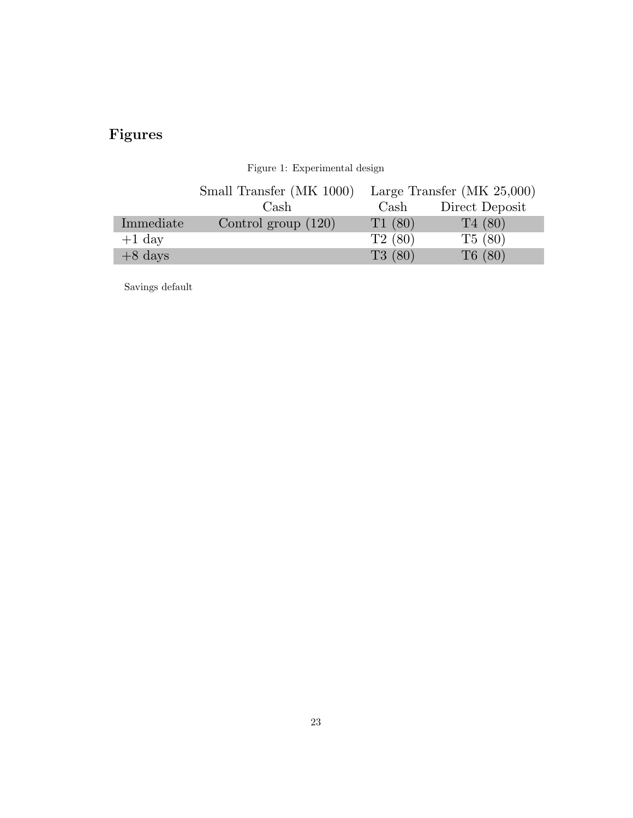# Figures

|           | Small Transfer (MK 1000) |                       | Large Transfer $(MK 25,000)$ |
|-----------|--------------------------|-----------------------|------------------------------|
|           | $\operatorname{Cash}$    | $\operatorname{Cash}$ | Direct Deposit               |
| Immediate | Control group $(120)$    | T1(80)                | T4(80)                       |
| $+1$ day  |                          | T2(80)                | T5(80)                       |
| $+8$ days |                          | T3(80)                | T6(80)                       |

Figure 1: Experimental design

Savings default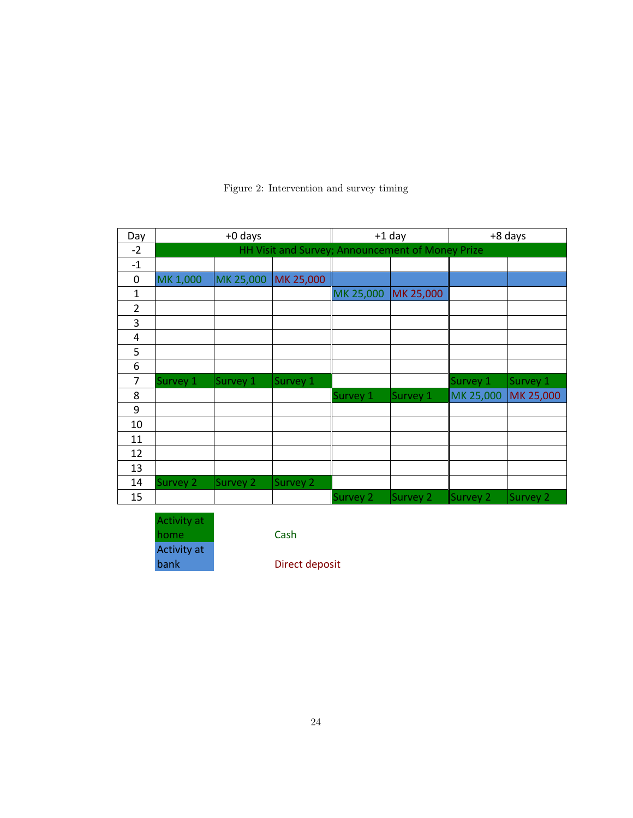| Day            | $+0$ days |           |                                                  |           | $+1$ day  | +8 days   |           |
|----------------|-----------|-----------|--------------------------------------------------|-----------|-----------|-----------|-----------|
| $-2$           |           |           | HH Visit and Survey; Announcement of Money Prize |           |           |           |           |
| $-1$           |           |           |                                                  |           |           |           |           |
| 0              | MK 1,000  | MK 25,000 | MK 25,000                                        |           |           |           |           |
| 1              |           |           |                                                  | MK 25,000 | MK 25,000 |           |           |
| $\overline{2}$ |           |           |                                                  |           |           |           |           |
| 3              |           |           |                                                  |           |           |           |           |
| 4              |           |           |                                                  |           |           |           |           |
| 5              |           |           |                                                  |           |           |           |           |
| 6              |           |           |                                                  |           |           |           |           |
| 7              | Survey 1  | Survey 1  | <b>Survey 1</b>                                  |           |           | Survey 1  | Survey 1  |
| 8              |           |           |                                                  | Survey 1  | Survey 1  | MK 25,000 | MK 25,000 |
| 9              |           |           |                                                  |           |           |           |           |
| 10             |           |           |                                                  |           |           |           |           |
| 11             |           |           |                                                  |           |           |           |           |
| 12             |           |           |                                                  |           |           |           |           |
| 13             |           |           |                                                  |           |           |           |           |
| 14             | Survey 2  | Survey 2  | <b>Survey 2</b>                                  |           |           |           |           |
| 15             |           |           |                                                  | Survey 2  | Survey 2  | Survey 2  | Survey 2  |

Figure 2: Intervention and survey timing

Activity at home Cash Activity at<br>bank Direct deposit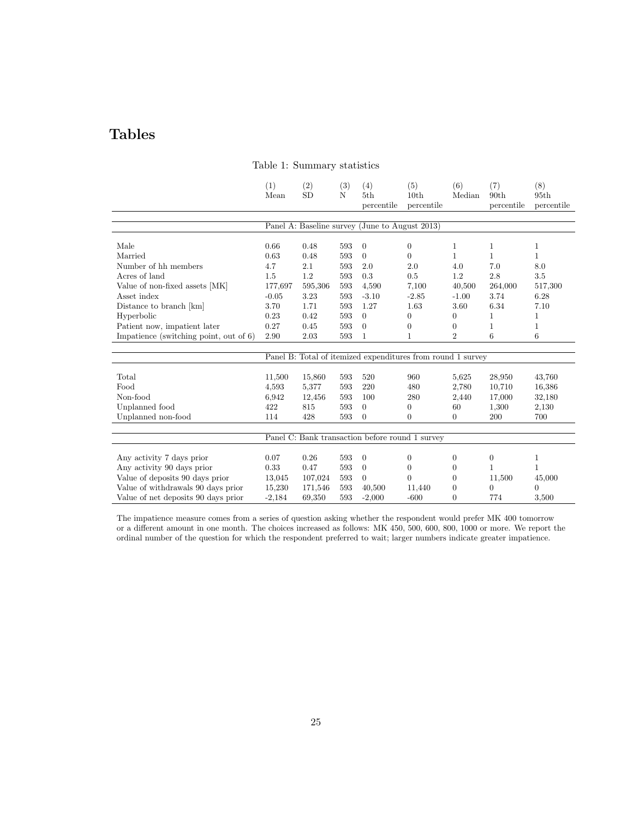# Tables

|                                           | (1)<br>Mean | (2)<br><b>SD</b> | (3)<br>N | (4)<br>5th<br>percentile                                    | (5)<br>10 <sub>th</sub><br>percentile | (6)<br>Median  | (7)<br>90 <sub>th</sub><br>percentile | (8)<br>95th<br>percentile |
|-------------------------------------------|-------------|------------------|----------|-------------------------------------------------------------|---------------------------------------|----------------|---------------------------------------|---------------------------|
|                                           |             |                  |          | Panel A: Baseline survey (June to August 2013)              |                                       |                |                                       |                           |
| Male                                      | 0.66        | 0.48             | 593      | $\Omega$                                                    | $\theta$                              | $\mathbf{1}$   | $\mathbf{1}$                          | $\mathbf{1}$              |
| Married                                   | 0.63        | 0.48             | 593      | $\theta$                                                    | $\theta$                              | $\mathbf{1}$   | $\mathbf{1}$                          | $\mathbf 1$               |
| Number of hh members                      | 4.7         | 2.1              | 593      | 2.0                                                         | 2.0                                   | 4.0            | 7.0                                   | 8.0                       |
| Acres of land                             | 1.5         | 1.2              | 593      | 0.3                                                         | 0.5                                   | 1.2            | 2.8                                   | 3.5                       |
| Value of non-fixed assets [MK]            | 177,697     | 595,306          | 593      | 4,590                                                       | 7,100                                 | 40,500         | 264,000                               | 517,300                   |
| Asset index                               | $-0.05$     | 3.23             | 593      | $-3.10$                                                     | $-2.85$                               | $-1.00$        | 3.74                                  | 6.28                      |
| Distance to branch [km]                   | 3.70        | 1.71             | 593      | 1.27                                                        | 1.63                                  | 3.60           | 6.34                                  | 7.10                      |
| Hyperbolic                                | 0.23        | 0.42             | 593      | $\theta$                                                    | $\overline{0}$                        | $\theta$       | $\mathbf{1}$                          | $\mathbf{1}$              |
| Patient now, impatient later              | 0.27        | 0.45             | 593      | $\Omega$                                                    | $\boldsymbol{0}$                      | $\theta$       | 1                                     | 1                         |
| Impatience (switching point, out of $6$ ) | 2.90        | 2.03             | 593      | $\mathbf{1}$                                                | 1                                     | $\overline{2}$ | 6                                     | 6                         |
|                                           |             |                  |          |                                                             |                                       |                |                                       |                           |
|                                           |             |                  |          | Panel B: Total of itemized expenditures from round 1 survey |                                       |                |                                       |                           |
|                                           |             |                  |          |                                                             |                                       |                |                                       |                           |
| Total                                     | 11,500      | 15,860           | 593      | 520                                                         | 960                                   | 5.625          | 28,950                                | 43,760                    |
| Food                                      | 4,593       | 5,377            | 593      | 220                                                         | 480                                   | 2,780          | 10,710                                | 16,386                    |
| Non-food                                  | 6,942       | 12,456           | 593      | 100                                                         | 280                                   | 2,440          | 17,000                                | 32,180                    |
| Unplanned food                            | 422         | 815              | 593      | $\theta$                                                    | $\boldsymbol{0}$                      | 60             | 1,300                                 | 2,130                     |
| Unplanned non-food                        | 114         | 428              | 593      | $\Omega$                                                    | $\overline{0}$                        | $\theta$       | 200                                   | 700                       |
|                                           |             |                  |          | Panel C: Bank transaction before round 1 survey             |                                       |                |                                       |                           |
|                                           |             |                  |          |                                                             |                                       |                |                                       |                           |
| Any activity 7 days prior                 | 0.07        | 0.26             | 593      | $\theta$                                                    | $\theta$                              | $\theta$       | $\overline{0}$                        | $\mathbf 1$               |
| Any activity 90 days prior                | 0.33        | 0.47             | 593      | $\theta$                                                    | $\theta$                              | $\theta$       | $\mathbf{1}$                          | 1                         |
| Value of deposits 90 days prior           | 13,045      | 107,024          | 593      | $\Omega$                                                    | $\Omega$                              | $\Omega$       | 11,500                                | 45,000                    |
| Value of withdrawals 90 days prior        | 15,230      | 171,546          | 593      | 40,500                                                      | 11,440                                | $\theta$       | $\theta$                              | $\theta$                  |
| Value of net deposits 90 days prior       | $-2,184$    | 69,350           | 593      | $-2,000$                                                    | $-600$                                | $\overline{0}$ | 774                                   | 3,500                     |

## Table 1: Summary statistics

The impatience measure comes from a series of question asking whether the respondent would prefer MK 400 tomorrow or a different amount in one month. The choices increased as follows: MK 450, 500, 600, 800, 1000 or more. We report the ordinal number of the question for which the respondent preferred to wait; larger numbers indicate greater impatience.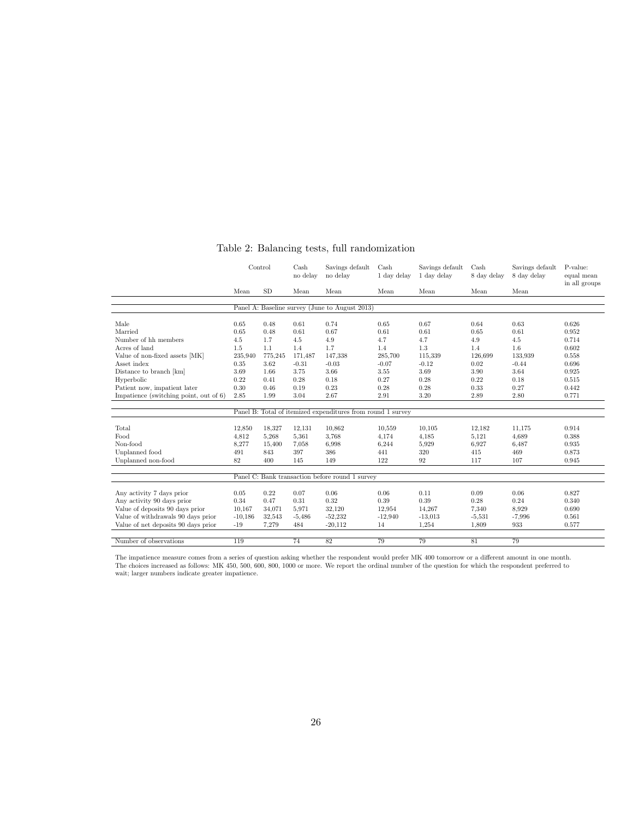|                                           |           | Control   | Cash<br>no delay | Savings default<br>no delay                                 | Cash<br>1 day delay | Savings default<br>1 day delay | Cash<br>8 day delay | Savings default<br>8 day delay | P-value:<br>equal mean<br>in all groups |
|-------------------------------------------|-----------|-----------|------------------|-------------------------------------------------------------|---------------------|--------------------------------|---------------------|--------------------------------|-----------------------------------------|
|                                           | Mean      | <b>SD</b> | Mean             | Mean                                                        | Mean                | Mean                           | Mean                | Mean                           |                                         |
|                                           |           |           |                  | Panel A: Baseline survey (June to August 2013)              |                     |                                |                     |                                |                                         |
|                                           |           |           |                  |                                                             |                     |                                |                     |                                |                                         |
| Male                                      | 0.65      | 0.48      | 0.61             | 0.74                                                        | 0.65                | 0.67                           | 0.64                | 0.63                           | 0.626                                   |
| Married                                   | 0.65      | 0.48      | 0.61             | 0.67                                                        | 0.61                | 0.61                           | 0.65                | 0.61                           | 0.952                                   |
| Number of hh members                      | 4.5       | 1.7       | 4.5              | 4.9                                                         | 4.7                 | 4.7                            | 4.9                 | 4.5                            | 0.714                                   |
| Acres of land                             | 1.5       | 1.1       | 1.4              | 1.7                                                         | 1.4                 | 1.3                            | 1.4                 | 1.6                            | 0.602                                   |
| Value of non-fixed assets [MK]            | 235,940   | 775,245   | 171,487          | 147,338                                                     | 285,700             | 115,339                        | 126,699             | 133,939                        | 0.558                                   |
| Asset index                               | 0.35      | 3.62      | $-0.31$          | $-0.03$                                                     | $-0.07$             | $-0.12$                        | 0.02                | $-0.44$                        | 0.696                                   |
| Distance to branch [km]                   | 3.69      | 1.66      | 3.75             | 3.66                                                        | 3.55                | 3.69                           | 3.90                | 3.64                           | 0.925                                   |
| Hyperbolic                                | 0.22      | 0.41      | 0.28             | 0.18                                                        | 0.27                | 0.28                           | 0.22                | 0.18                           | 0.515                                   |
| Patient now, impatient later              | 0.30      | 0.46      | 0.19             | 0.23                                                        | 0.28                | 0.28                           | 0.33                | 0.27                           | 0.442                                   |
| Impatience (switching point, out of $6$ ) | 2.85      | 1.99      | 3.04             | 2.67                                                        | 2.91                | 3.20                           | 2.89                | 2.80                           | 0.771                                   |
|                                           |           |           |                  |                                                             |                     |                                |                     |                                |                                         |
|                                           |           |           |                  | Panel B: Total of itemized expenditures from round 1 survey |                     |                                |                     |                                |                                         |
| Total                                     | 12.850    | 18.327    | 12.131           | 10.862                                                      | 10,559              | 10.105                         | 12.182              | 11.175                         | 0.914                                   |
| Food                                      | 4,812     | 5,268     | 5,361            | 3.768                                                       | 4,174               | 4,185                          | 5,121               | 4,689                          | 0.388                                   |
| Non-food                                  | 8,277     | 15,400    | 7,058            | 6.998                                                       | 6,244               | 5,929                          | 6,927               | 6,487                          | 0.935                                   |
| Unplanned food                            | 491       | 843       | 397              | 386                                                         | 441                 | 320                            | 415                 | 469                            | 0.873                                   |
| Unplanned non-food                        | 82        | 400       | 145              | 149                                                         | 122                 | 92                             | 117                 | 107                            | 0.945                                   |
|                                           |           |           |                  |                                                             |                     |                                |                     |                                |                                         |
|                                           |           |           |                  | Panel C: Bank transaction before round 1 survey             |                     |                                |                     |                                |                                         |
|                                           |           |           |                  |                                                             |                     |                                |                     |                                |                                         |
| Any activity 7 days prior                 | 0.05      | 0.22      | 0.07             | 0.06                                                        | 0.06                | 0.11                           | 0.09                | 0.06                           | 0.827                                   |
| Any activity 90 days prior                | 0.34      | 0.47      | 0.31             | 0.32                                                        | 0.39                | 0.39                           | 0.28                | 0.24                           | 0.340                                   |
| Value of deposits 90 days prior           | 10,167    | 34,071    | 5,971            | 32,120                                                      | 12,954              | 14,267                         | 7,340               | 8,929                          | 0.690                                   |
| Value of withdrawals 90 days prior        | $-10,186$ | 32,543    | $-5,486$         | $-52,232$                                                   | $-12,940$           | $-13,013$                      | $-5,531$            | $-7,996$                       | 0.561                                   |
| Value of net deposits 90 days prior       | $-19$     | 7,279     | 484              | $-20,112$                                                   | 14                  | 1,254                          | 1,809               | 933                            | 0.577                                   |
|                                           |           |           |                  |                                                             |                     |                                |                     |                                |                                         |
| Number of observations                    | 119       |           | 74               | 82                                                          | 79                  | 79                             | 81                  | 79                             |                                         |

## Table 2: Balancing tests, full randomization

The impatience measure comes from a series of question asking whether the respondent would prefer MK 400 tomorrow or a different amount in one month.<br>The choices increased as follows: MK 450, 500, 600, 800, 1000 or more. W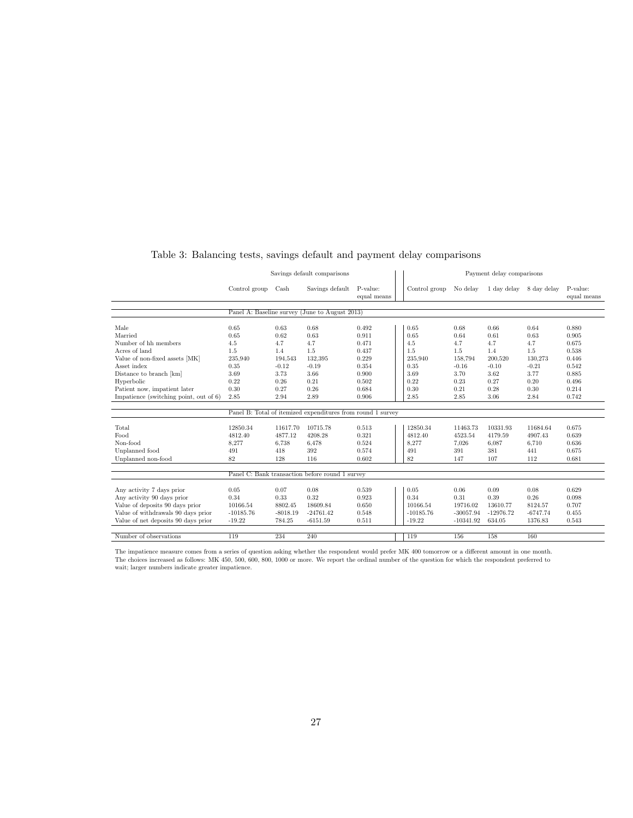|                                           |               |            | Savings default comparisons                                 |                         |               |             | Payment delay comparisons |             |                         |
|-------------------------------------------|---------------|------------|-------------------------------------------------------------|-------------------------|---------------|-------------|---------------------------|-------------|-------------------------|
|                                           | Control group | Cash       | Savings default                                             | P-value:<br>equal means | Control group | No delay    | 1 day delay               | 8 day delay | P-value:<br>equal means |
|                                           |               |            | Panel A: Baseline survey (June to August 2013)              |                         |               |             |                           |             |                         |
| Male                                      |               |            |                                                             |                         |               |             |                           |             |                         |
|                                           | 0.65          | 0.63       | 0.68                                                        | 0.492                   | 0.65          | 0.68        | 0.66                      | 0.64        | 0.880                   |
| Married                                   | 0.65          | 0.62       | 0.63                                                        | 0.911                   | 0.65          | 0.64        | 0.61                      | 0.63        | 0.905                   |
| Number of hh members                      | 4.5           | 4.7        | 4.7                                                         | 0.471                   | 4.5           | 4.7         | 4.7                       | 4.7         | 0.675                   |
| Acres of land                             | 1.5           | 1.4        | 1.5                                                         | 0.437                   | 1.5           | 1.5         | 1.4                       | 1.5         | 0.538                   |
| Value of non-fixed assets [MK]            | 235,940       | 194.543    | 132,395                                                     | 0.229                   | 235.940       | 158,794     | 200,520                   | 130.273     | 0.446                   |
| Asset index                               | 0.35          | $-0.12$    | $-0.19$                                                     | 0.354                   | 0.35          | $-0.16$     | $-0.10$                   | $-0.21$     | 0.542                   |
| Distance to branch [km]                   | 3.69          | 3.73       | 3.66                                                        | 0.900                   | 3.69          | 3.70        | 3.62                      | 3.77        | 0.885                   |
| Hyperbolic                                | 0.22          | 0.26       | 0.21                                                        | 0.502                   | 0.22          | 0.23        | 0.27                      | 0.20        | 0.496                   |
| Patient now, impatient later              | 0.30          | 0.27       | 0.26                                                        | 0.684                   | 0.30          | 0.21        | 0.28                      | 0.30        | 0.214                   |
| Impatience (switching point, out of $6$ ) | 2.85          | 2.94       | 2.89                                                        | 0.906                   | 2.85          | 2.85        | 3.06                      | 2.84        | 0.742                   |
|                                           |               |            |                                                             |                         |               |             |                           |             |                         |
|                                           |               |            | Panel B: Total of itemized expenditures from round 1 survey |                         |               |             |                           |             |                         |
|                                           |               |            |                                                             |                         |               |             |                           |             |                         |
| Total                                     | 12850.34      | 11617.70   | 10715.78                                                    | 0.513                   | 12850.34      | 11463.73    | 10331.93                  | 11684.64    | 0.675                   |
| Food                                      | 4812.40       | 4877.12    | 4208.28                                                     | 0.321                   | 4812.40       | 4523.54     | 4179.59                   | 4907.43     | 0.639                   |
| Non-food                                  | 8,277         | 6,738      | 6,478                                                       | 0.524                   | 8,277         | 7,026       | 6,087                     | 6,710       | 0.636                   |
| Unplanned food                            | 491           | 418        | 392                                                         | 0.574                   | 491           | 391         | 381                       | 441         | 0.675                   |
| Unplanned non-food                        | 82            | 128        | 116                                                         | 0.602                   | 82            | 147         | 107                       | 112         | 0.681                   |
|                                           |               |            |                                                             |                         |               |             |                           |             |                         |
|                                           |               |            | Panel C: Bank transaction before round 1 survey             |                         |               |             |                           |             |                         |
|                                           |               |            |                                                             |                         |               |             |                           |             |                         |
| Any activity 7 days prior                 | 0.05          |            | 0.08                                                        | 0.539                   | 0.05          | 0.06        | 0.09                      | 0.08        | 0.629                   |
| Any activity 90 days prior                |               | 0.07       |                                                             |                         |               |             |                           |             |                         |
|                                           | 0.34          | 0.33       | 0.32                                                        | 0.923                   | 0.34          | 0.31        | 0.39                      | 0.26        | 0.098                   |
| Value of deposits 90 days prior           | 10166.54      | 8802.45    | 18609.84                                                    | 0.650                   | 10166.54      | 19716.02    | 13610.77                  | 8124.57     | 0.707                   |
| Value of withdrawals 90 days prior        | $-10185.76$   | $-8018.19$ | $-24761.42$                                                 | 0.548                   | $-10185.76$   | $-30057.94$ | $-12976.72$               | $-6747.74$  | 0.455                   |
| Value of net deposits 90 days prior       | $-19.22$      | 784.25     | $-6151.59$                                                  | 0.511                   | $-19.22$      | $-10341.92$ | 634.05                    | 1376.83     | 0.543                   |
| Number of observations                    | 119           | 234        | 240                                                         |                         | 119           | 156         | 158                       | 160         |                         |

## Table 3: Balancing tests, savings default and payment delay comparisons

The impatience measure comes from a series of question asking whether the respondent would prefer MK 400 tomorrow or a different amount in one month.<br>The choices increased as follows: MK 450, 500, 600, 800, 1000 or more. W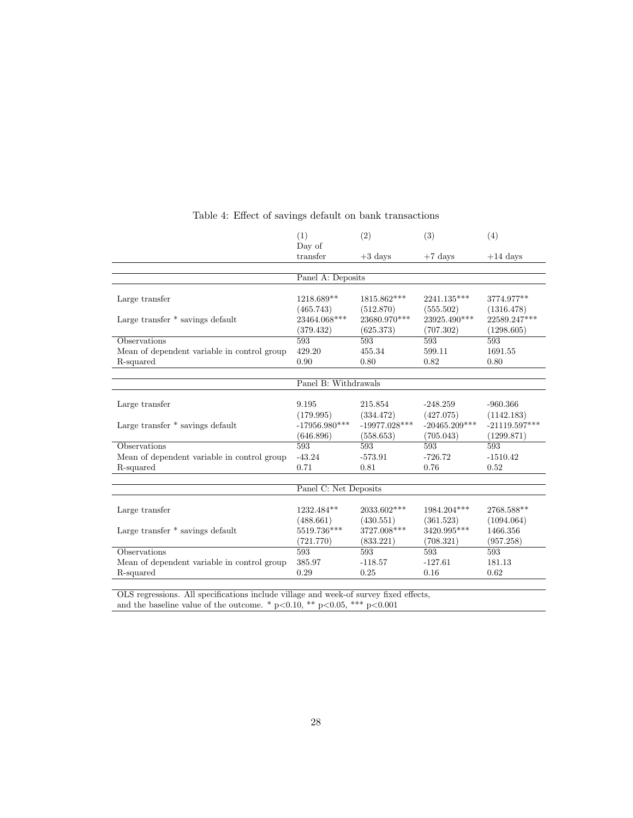|                                             | (1)                      | (2)                      | (3)                      | (4)                           |
|---------------------------------------------|--------------------------|--------------------------|--------------------------|-------------------------------|
|                                             | Day of                   |                          |                          |                               |
|                                             | transfer                 | $+3$ days                | $+7$ days                | $+14$ days                    |
|                                             | Panel A: Deposits        |                          |                          |                               |
|                                             |                          |                          |                          |                               |
| Large transfer                              | 1218.689**               | 1815.862***              | 2241.135***              | 3774.977**                    |
|                                             | (465.743)                | (512.870)                | (555.502)                | (1316.478)                    |
| Large transfer * savings default            | 23464.068***             | 23680.970 ***            | 23925.490***             | 22589.247***                  |
|                                             | (379.432)                | (625.373)                | (707.302)                | (1298.605)                    |
| Observations                                | 593                      | 593                      | 593                      | 593                           |
| Mean of dependent variable in control group | 429.20                   | 455.34                   | 599.11                   | 1691.55                       |
| R-squared                                   | 0.90                     | 0.80                     | 0.82                     | 0.80                          |
|                                             |                          |                          |                          |                               |
|                                             | Panel B: Withdrawals     |                          |                          |                               |
|                                             | 9.195                    | 215.854                  | $-248.259$               | $-960.366$                    |
| Large transfer                              | (179.995)                | (334.472)                | (427.075)                |                               |
| Large transfer * savings default            | $-17956.980***$          | $-19977.028***$          | $-20465.209***$          | (1142.183)<br>$-21119.597***$ |
|                                             | (646.896)                |                          | (705.043)                | (1299.871)                    |
| <b>Observations</b>                         | 593                      | (558.653)<br>593         | 593                      | 593                           |
|                                             | $-43.24$                 |                          |                          |                               |
| Mean of dependent variable in control group |                          | $-573.91$                | $-726.72$                | $-1510.42$                    |
| R-squared                                   | 0.71                     | 0.81                     | 0.76                     | 0.52                          |
|                                             | Panel C: Net Deposits    |                          |                          |                               |
|                                             | 1232.484**               | 2033.602***              | 1984.204***              | 2768.588**                    |
| Large transfer                              |                          |                          |                          |                               |
|                                             | (488.661)<br>5519.736*** | (430.551)<br>3727.008*** | (361.523)<br>3420.995*** | (1094.064)                    |
| Large transfer * savings default            |                          |                          |                          | 1466.356                      |
|                                             | (721.770)                | (833.221)                | (708.321)                | (957.258)                     |
| Observations                                | 593                      | 593                      | 593                      | 593                           |
| Mean of dependent variable in control group | 385.97                   | $-118.57$                | $-127.61$                | 181.13                        |
| R-squared                                   | 0.29                     | 0.25                     | 0.16                     | 0.62                          |

# Table 4: Effect of savings default on bank transactions

and the baseline value of the outcome. \*  $p<0.10$ , \*\*  $p<0.05$ , \*\*\*  $p<0.001$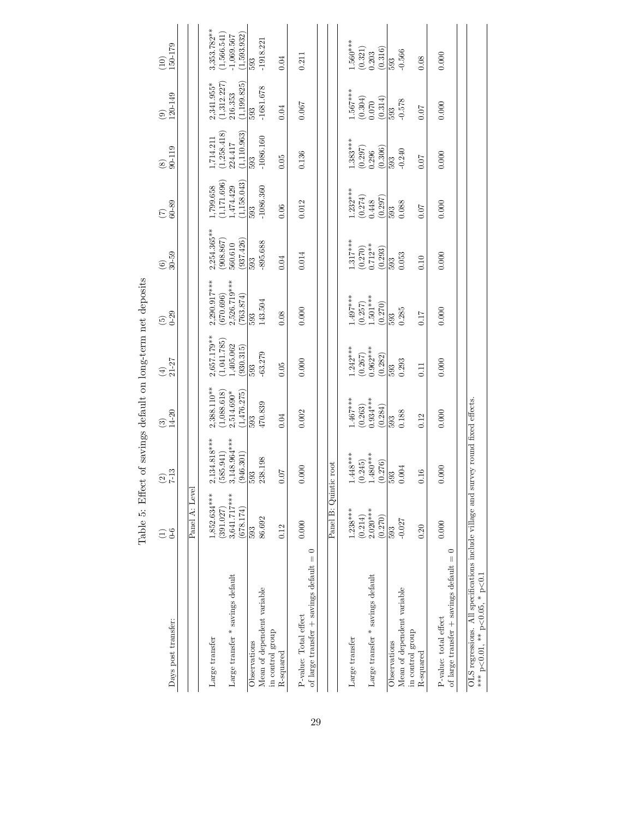| Days post transfer:                                                                                                           | $6-$<br>Э                   | $7 - 13$<br>$\odot$              | $14 - 20$<br>$\odot$          | $(4)$<br>21-27                   | $\begin{array}{c} (5) \\ 0 - 29 \end{array}$ | $30 - 59$<br>$\odot$                                          | 60-89<br>$\widetilde{C}$       | 90-119<br>$\circledast$                       | 120-149<br>$\circledcirc$                                      | $(10)$<br>150-179                          |
|-------------------------------------------------------------------------------------------------------------------------------|-----------------------------|----------------------------------|-------------------------------|----------------------------------|----------------------------------------------|---------------------------------------------------------------|--------------------------------|-----------------------------------------------|----------------------------------------------------------------|--------------------------------------------|
|                                                                                                                               | Panel A: Level              |                                  |                               |                                  |                                              |                                                               |                                |                                               |                                                                |                                            |
| Large transfer                                                                                                                | $1,852.634***$<br>(391.027) | $2,134.818***$<br>(585.941)      | $2,388.110***$<br>(1,088.618) | $2,657.179**$<br>(1,041.785)     | 2,290.917***<br>(670.696)                    | $2,254.365***$<br>(908.867)                                   | (1,171.696)<br>1,799.658       | 1,714.211                                     | $2,341.955*$                                                   | $3,353.782***$                             |
| Large transfer * savings default                                                                                              | 3,641.717***<br>(678.174)   | 3,148.964***<br>(946.301)        | $2,514.690*$<br>(1,476.275)   | $1,405.062$<br>(930.315)         | $2,526.719***$<br>(763.874)                  | (937.426)<br>560.610                                          | (1,158.043)<br>,474.429        | $(1{,}258{,}418)$ $224{,}417$<br>(1, 110.963) | (1, 199.825)<br>$(1,\!312.227)$ $216.353$                      | $(1,566.541)$<br>-1,069.567<br>(1,593.932) |
| Mean of dependent variable<br>Observations                                                                                    | 86.692<br>593               | 238.198<br>593                   | 470.839<br>593                | 593<br>-63.279                   | 593<br>143.504                               | $-895.688$<br>593                                             | $-1086.360$<br>$\frac{1}{593}$ | $-1086.160$<br>$\frac{593}{55}$               | $-1681.678$<br>$\frac{1}{593}$                                 | $-1918.221$<br>593                         |
| in control group<br>R-squared                                                                                                 | 0.12                        | 0.07                             | 0.04                          | $0.05$                           | 0.08                                         | 0.04                                                          | 0.06                           | 0.05                                          | 0.04                                                           | 0.04                                       |
| of large transfer + savings default $= 0$<br>P-value: Total effect                                                            | 0.000                       | 0.000                            | 0.002                         | 0.000                            | 0.000                                        | 0.014                                                         | 0.012                          | 0.136                                         | 0.067                                                          | 0.211                                      |
|                                                                                                                               | Panel B: Quinti             | c root                           |                               |                                  |                                              |                                                               |                                |                                               |                                                                |                                            |
| Large transfer                                                                                                                | $1.238***$<br>(0.214)       | $1.448***$                       | $1.467***$<br>(0.263)         | $1.242***$                       | $1.497***$                                   | $1.317***$                                                    | $1.232***$<br>(0.274)<br>0.448 | $1.383***$<br>(0.297)<br>0.296                | $\begin{array}{c} 1.567^{***} \\ (0.304) \\ 0.070 \end{array}$ | $1.560***$                                 |
| Large transfer * savings default                                                                                              | $2.020***$<br>(0.270)       | $(0.245)$<br>1.480***<br>(0.276) | $0.934***$<br>(0.284)         | $(0.267)$<br>0.962***<br>(0.282) | $(0.257)$<br>1.501***<br>(0.270)             | $\begin{array}{c} (0.270) \\ 0.712*** \end{array}$<br>(0.293) | (0.297)                        | (0.306)                                       | (0.314)                                                        | $\left( 0.321\right)$ $0.203$<br>(0.316)   |
| Mean of dependent variable<br>Observations                                                                                    | $-0.027$<br>593             | $0.004$<br>593                   | 0.188<br>593                  | 0.293<br>593                     | 0.285<br>593                                 | 0.053<br>593                                                  | 0.088<br>593                   | $-0.240$<br>593                               | $-0.578$<br>593                                                | $-0.566$<br>593                            |
| in control group<br>R-squared                                                                                                 | 0.20                        | 0.16                             | 0.12                          | 0.11                             | 0.17                                         | 0.10                                                          | 0.07                           | 0.07                                          | 0.07                                                           | 0.08                                       |
| of large transfer $+$ savings default $= 0$<br>P-value: total effect                                                          | 0.000                       | 0.000                            | 0.000                         | 0.000                            | 0.000                                        | 0.000                                                         | 0.000                          | 0.000                                         | 0.000                                                          | 0.000                                      |
| OLS regressions. All specifications include village and survey round fixed effects.<br>*** $p<0.01$ , ** $p<0.05$ , * $p<0.1$ |                             |                                  |                               |                                  |                                              |                                                               |                                |                                               |                                                                |                                            |

Table 5: Effect of savings default on long-term net deposits Table 5: Effect of savings default on long-term net deposits

\*\*\*  $p<0.01$ , \*\*  $p<0.05$ , \*  $p<0.1$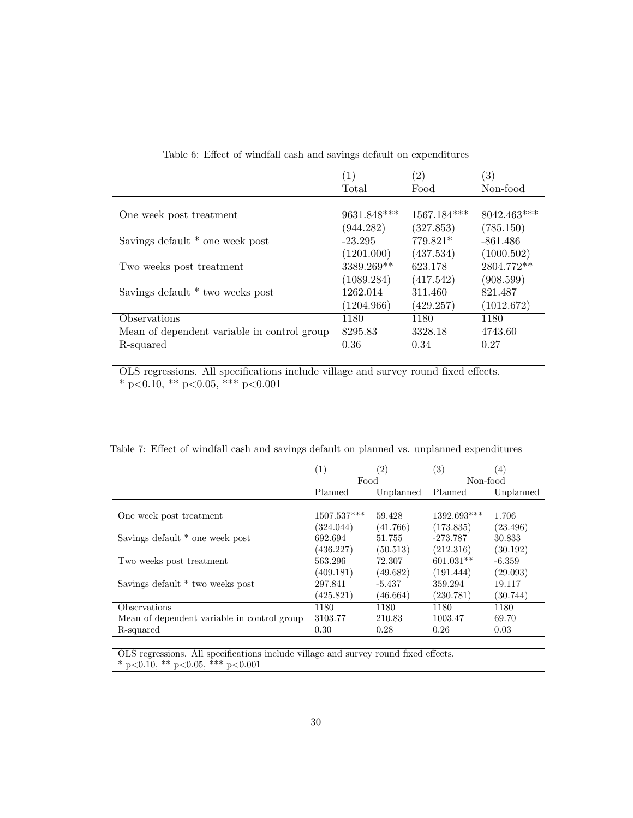|                                             | (1)         | $\left( 2\right)$ | $\left( 3\right)$ |
|---------------------------------------------|-------------|-------------------|-------------------|
|                                             | Total       | Food              | Non-food          |
|                                             |             |                   |                   |
| One week post treatment                     | 9631.848*** | $1567.184***$     | 8042.463***       |
|                                             | (944.282)   | (327.853)         | (785.150)         |
| Savings default * one week post             | $-23.295$   | 779.821*          | $-861.486$        |
|                                             | (1201.000)  | (437.534)         | (1000.502)        |
| Two weeks post treatment                    | 3389.269**  | 623.178           | 2804.772**        |
|                                             | (1089.284)  | (417.542)         | (908.599)         |
| Savings default * two weeks post            | 1262.014    | 311.460           | 821.487           |
|                                             | (1204.966)  | (429.257)         | (1012.672)        |
| Observations                                | 1180        | 1180              | 1180              |
| Mean of dependent variable in control group | 8295.83     | 3328.18           | 4743.60           |
| R-squared                                   | 0.36        | 0.34              | 0.27              |

Table 6: Effect of windfall cash and savings default on expenditures

OLS regressions. All specifications include village and survey round fixed effects. \* p<0.10, \*\* p<0.05, \*\*\* p<0.001

Table 7: Effect of windfall cash and savings default on planned vs. unplanned expenditures

|                                             | $\left( 1\right)$ | (2)       | (3)           | (4)       |
|---------------------------------------------|-------------------|-----------|---------------|-----------|
|                                             | Food              |           | Non-food      |           |
|                                             | Planned           | Unplanned | Planned       | Unplanned |
|                                             |                   |           |               |           |
| One week post treatment                     | 1507.537***       | 59.428    | $1392.693***$ | 1.706     |
|                                             | (324.044)         | (41.766)  | (173.835)     | (23.496)  |
| Savings default * one week post             | 692.694           | 51.755    | $-273.787$    | 30.833    |
|                                             | (436.227)         | (50.513)  | (212.316)     | (30.192)  |
| Two weeks post treatment                    | 563.296           | 72.307    | $601.031**$   | $-6.359$  |
|                                             | (409.181)         | (49.682)  | (191.444)     | (29.093)  |
| Savings default * two weeks post            | 297.841           | $-5.437$  | 359.294       | 19.117    |
|                                             | (425.821)         | (46.664)  | (230.781)     | (30.744)  |
| Observations                                | 1180              | 1180      | 1180          | 1180      |
| Mean of dependent variable in control group | 3103.77           | 210.83    | 1003.47       | 69.70     |
| R-squared                                   | 0.30              | 0.28      | 0.26          | 0.03      |

OLS regressions. All specifications include village and survey round fixed effects.  $*$  p<0.10,  $**$  p<0.05,  $***$  p<0.001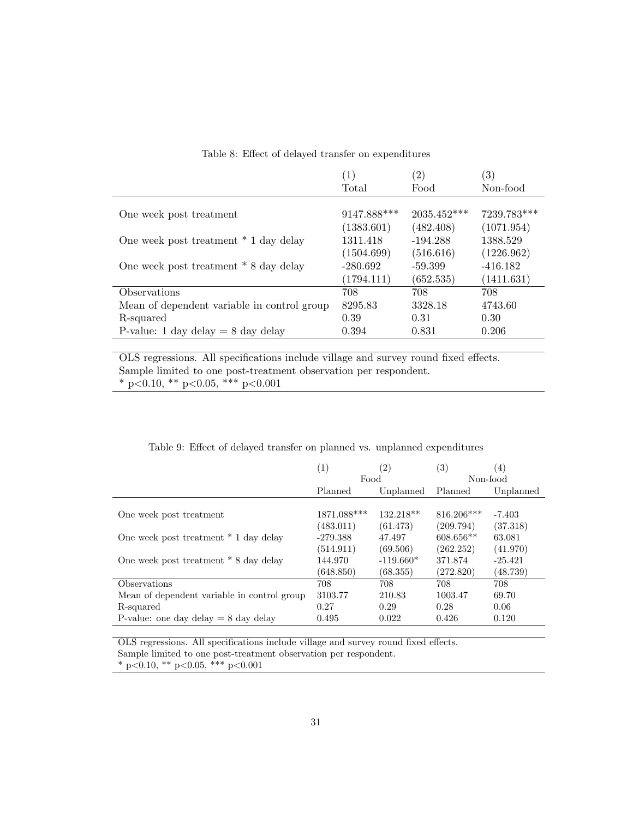#### Table 8: Effect of delayed transfer on expenditures

|                                             | (1)         | $\left( 2\right)$ | $\left( 3\right)$ |
|---------------------------------------------|-------------|-------------------|-------------------|
|                                             | Total       | Food              | Non-food          |
|                                             |             |                   |                   |
| One week post treatment                     | 9147.888*** | $2035.452***$     | 7239.783***       |
|                                             | (1383.601)  | (482.408)         | (1071.954)        |
| One week post treatment * 1 day delay       | 1311.418    | $-194.288$        | 1388.529          |
|                                             | (1504.699)  | (516.616)         | (1226.962)        |
| One week post treatment * 8 day delay       | $-280.692$  | $-59.399$         | $-416.182$        |
|                                             | (1794.111)  | (652.535)         | (1411.631)        |
| Observations                                | 708         | 708               | 708               |
| Mean of dependent variable in control group | 8295.83     | 3328.18           | 4743.60           |
| R-squared                                   | 0.39        | 0.31              | 0.30              |
| P-value: 1 day delay $= 8$ day delay        | 0.394       | 0.831             | 0.206             |

OLS regressions. All specifications include village and survey round fixed effects. Sample limited to one post-treatment observation per respondent. \* p<0.10, \*\* p<0.05, \*\*\* p<0.001

### Table 9: Effect of delayed transfer on planned vs. unplanned expenditures

|                                             | (1)         | $\left( 2\right)$ | $\left( 3\right)$ | $\left(4\right)$ |
|---------------------------------------------|-------------|-------------------|-------------------|------------------|
|                                             | Food        |                   | Non-food          |                  |
|                                             | Planned     | Unplanned         | Planned           | Unplanned        |
|                                             |             |                   |                   |                  |
| One week post treatment                     | 1871.088*** | $132.218**$       | $816.206***$      | $-7.403$         |
|                                             | (483.011)   | (61.473)          | (209.794)         | (37.318)         |
| One week post treatment * 1 day delay       | $-279.388$  | 47.497            | $608.656**$       | 63.081           |
|                                             | (514.911)   | (69.506)          | (262.252)         | (41.970)         |
| One week post treatment * 8 day delay       | 144.970     | $-119.660*$       | 371.874           | $-25.421$        |
|                                             | (648.850)   | (68.355)          | (272.820)         | (48.739)         |
| Observations                                | 708         | 708               | 708               | 708              |
| Mean of dependent variable in control group | 3103.77     | 210.83            | 1003.47           | 69.70            |
| R-squared                                   | 0.27        | 0.29              | 0.28              | 0.06             |
| P-value: one day delay $= 8$ day delay      | 0.495       | 0.022             | 0.426             | 0.120            |

OLS regressions. All specifications include village and survey round fixed effects. Sample limited to one post-treatment observation per respondent. \* p<0.10, \*\* p<0.05, \*\*\* p<0.001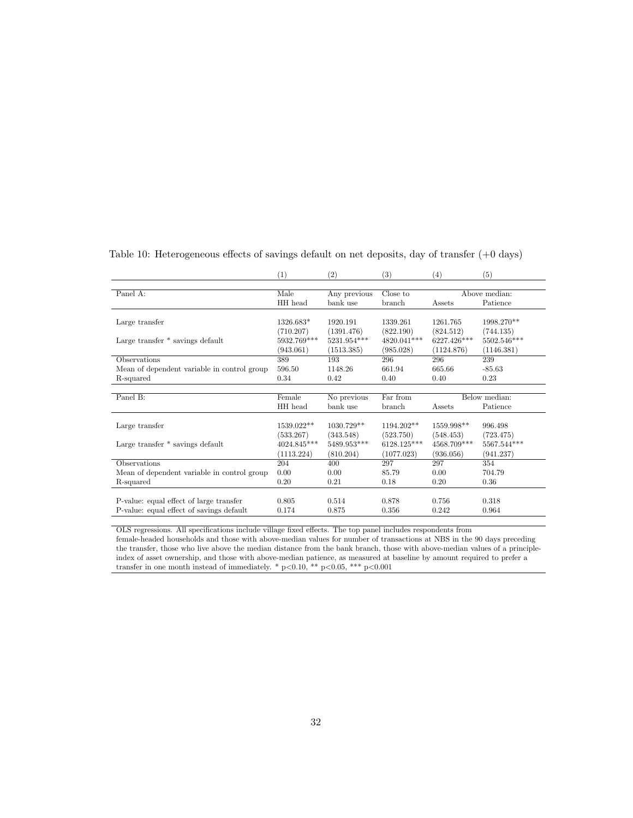|                                             | (1)         | (2)          | (3)          | (4)         | (5)           |
|---------------------------------------------|-------------|--------------|--------------|-------------|---------------|
|                                             |             |              |              |             |               |
| Panel A:                                    | Male        | Any previous | Close to     |             | Above median: |
|                                             | HH head     | bank use     | branch       | Assets      | Patience      |
|                                             |             |              |              |             |               |
| Large transfer                              | 1326.683*   | 1920.191     | 1339.261     | 1261.765    | 1998.270**    |
|                                             | (710.207)   | (1391.476)   | (822.190)    | (824.512)   | (744.135)     |
| Large transfer * savings default            | 5932.769*** | 5231.954***  | 4820.041***  | 6227.426*** | 5502.546***   |
|                                             | (943.061)   | (1513.385)   | (985.028)    | (1124.876)  | (1146.381)    |
| Observations                                | 389         | 193          | 296          | 296         | 239           |
| Mean of dependent variable in control group | 596.50      | 1148.26      | 661.94       | 665.66      | $-85.63$      |
| R-squared                                   | 0.34        | 0.42         | 0.40         | 0.40        | 0.23          |
|                                             |             |              |              |             |               |
| Panel B:                                    | Female      | No previous  | Far from     |             | Below median: |
|                                             | HH head     | bank use     | branch       | Assets      | Patience      |
|                                             |             |              |              |             |               |
| Large transfer                              | 1539.022**  | $1030.729**$ | $1194.202**$ | 1559.998**  | 996.498       |
|                                             | (533.267)   | (343.548)    | (523.750)    | (548.453)   | (723.475)     |
| Large transfer * savings default            | 4024.845*** | 5489.953***  | 6128.125***  | 4568.709*** | 5567.544***   |
|                                             | (1113.224)  | (810.204)    | (1077.023)   | (936.056)   | (941.237)     |
| Observations                                | 204         | 400          | 297          | 297         | 354           |
| Mean of dependent variable in control group | 0.00        | 0.00         | 85.79        | 0.00        | 704.79        |
| R-squared                                   |             |              | 0.18         | 0.20        | 0.36          |
|                                             | 0.20        | 0.21         |              |             |               |
|                                             |             |              |              |             |               |
| P-value: equal effect of large transfer     | 0.805       | 0.514        | 0.878        | 0.756       | 0.318         |

Table 10: Heterogeneous effects of savings default on net deposits, day of transfer (+0 days)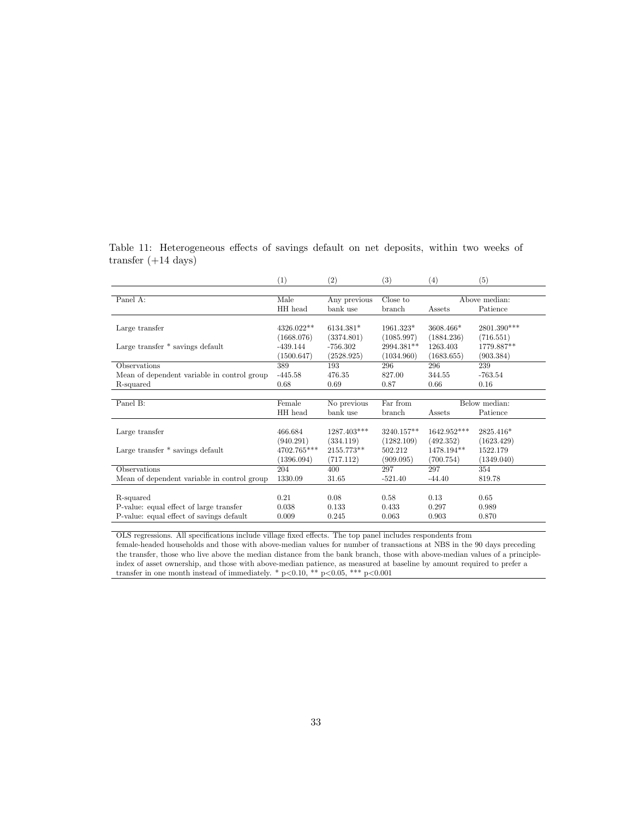|                                             | (1)         | $\left( 2\right)$ | (3)          | (4)         | (5)           |
|---------------------------------------------|-------------|-------------------|--------------|-------------|---------------|
|                                             |             |                   |              |             |               |
| Panel A:                                    | Male        | Any previous      | Close to     |             | Above median: |
|                                             | HH head     | bank use          | branch       | Assets      | Patience      |
|                                             |             |                   |              |             |               |
| Large transfer                              | 4326.022**  | 6134.381*         | 1961.323*    | 3608.466*   | 2801.390***   |
|                                             | (1668.076)  | (3374.801)        | (1085.997)   | (1884.236)  | (716.551)     |
| Large transfer * savings default            | $-439.144$  | $-756.302$        | 2994.381**   | 1263.403    | 1779.887**    |
|                                             | (1500.647)  | (2528.925)        | (1034.960)   | (1683.655)  | (903.384)     |
| Observations                                | 389         | 193               | 296          | 296         | 239           |
| Mean of dependent variable in control group | $-445.58$   | 476.35            | 827.00       | 344.55      | $-763.54$     |
| R-squared                                   | 0.68        | 0.69              | 0.87         | 0.66        | 0.16          |
|                                             |             |                   |              |             |               |
| Panel B:                                    | Female      | No previous       | Far from     |             | Below median: |
|                                             | HH head     | bank use          | branch       | Assets      | Patience      |
|                                             |             |                   |              |             |               |
| Large transfer                              | 466.684     | 1287.403***       | $3240.157**$ | 1642.952*** | 2825.416*     |
|                                             | (940.291)   | (334.119)         | (1282.109)   | (492.352)   | (1623.429)    |
| Large transfer * savings default            | 4702.765*** | 2155.773**        | 502.212      | 1478.194**  | 1522.179      |
|                                             | (1396.094)  | (717.112)         | (909.095)    | (700.754)   | (1349.040)    |
| Observations                                | 204         | 400               | 297          | 297         | 354           |
| Mean of dependent variable in control group | 1330.09     | 31.65             | $-521.40$    | $-44.40$    | 819.78        |
|                                             |             |                   |              |             |               |
| R-squared                                   | 0.21        | 0.08              | 0.58         | 0.13        | 0.65          |
| P-value: equal effect of large transfer     | 0.038       | 0.133             | 0.433        | 0.297       | 0.989         |
| P-value: equal effect of savings default    | 0.009       | 0.245             | 0.063        | 0.903       | 0.870         |

Table 11: Heterogeneous effects of savings default on net deposits, within two weeks of transfer (+14 days)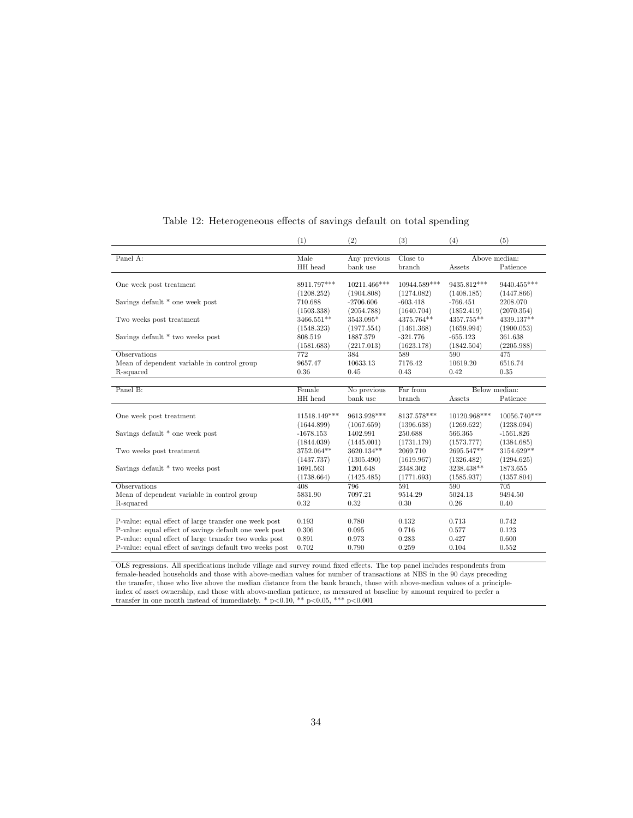|                                                         | (1)          | (2)          | (3)          | (4)          | (5)           |
|---------------------------------------------------------|--------------|--------------|--------------|--------------|---------------|
|                                                         |              |              |              |              |               |
| Panel A:                                                | Male         | Any previous | Close to     |              | Above median: |
|                                                         | HH head      | bank use     | branch       | Assets       | Patience      |
|                                                         |              |              |              |              |               |
| One week post treatment                                 | 8911.797***  | 10211.466*** | 10944.589*** | 9435.812***  | 9440.455***   |
|                                                         | (1208.252)   | (1904.808)   | (1274.082)   | (1408.185)   | (1447.866)    |
| Savings default * one week post                         | 710.688      | $-2706.606$  | $-603.418$   | $-766.451$   | 2208.070      |
|                                                         | (1503.338)   | (2054.788)   | (1640.704)   | (1852.419)   | (2070.354)    |
| Two weeks post treatment                                | 3466.551**   | 3543.095*    | 4375.764**   | 4357.755**   | 4339.137**    |
|                                                         | (1548.323)   | (1977.554)   | (1461.368)   | (1659.994)   | (1900.053)    |
| Savings default * two weeks post                        | 808.519      | 1887.379     | $-321.776$   | $-655.123$   | 361.638       |
|                                                         | (1581.683)   | (2217.013)   | (1623.178)   | (1842.504)   | (2205.988)    |
| Observations                                            | 772          | 384          | 589          | 590          | 475           |
| Mean of dependent variable in control group             | 9657.47      | 10633.13     | 7176.42      | 10619.20     | 6516.74       |
| R-squared                                               | 0.36         | 0.45         | 0.43         | 0.42         | 0.35          |
|                                                         |              |              |              |              |               |
| Panel B:                                                | Female       | No previous  | Far from     |              | Below median: |
|                                                         | HH head      | bank use     | branch       | Assets       | Patience      |
|                                                         |              |              |              |              |               |
| One week post treatment                                 | 11518.149*** | 9613.928***  | 8137.578***  | 10120.968*** | 10056.740***  |
|                                                         | (1644.899)   | (1067.659)   | (1396.638)   | (1269.622)   | (1238.094)    |
| Savings default * one week post                         | $-1678.153$  | 1402.991     | 250.688      | 566.365      | $-1561.826$   |
|                                                         | (1844.039)   | (1445.001)   | (1731.179)   | (1573.777)   | (1384.685)    |
| Two weeks post treatment                                | 3752.064**   | 3620.134**   | 2069.710     | 2695.547**   | 3154.629**    |
|                                                         | (1437.737)   | (1305.490)   | (1619.967)   | (1326.482)   | (1294.625)    |
| Savings default * two weeks post                        | 1691.563     | 1201.648     | 2348.302     | 3238.438**   | 1873.655      |
|                                                         | (1738.664)   | (1425.485)   | (1771.693)   | (1585.937)   | (1357.804)    |
| Observations                                            | 408          | 796          | 591          | 590          | 705           |
| Mean of dependent variable in control group             | 5831.90      | 7097.21      | 9514.29      | 5024.13      | 9494.50       |
| R-squared                                               | 0.32         | 0.32         | 0.30         | 0.26         | 0.40          |
|                                                         |              |              |              |              |               |
| P-value: equal effect of large transfer one week post   | 0.193        | 0.780        | 0.132        | 0.713        | 0.742         |
| P-value: equal effect of savings default one week post  | 0.306        | 0.095        | 0.716        | 0.577        | 0.123         |
| P-value: equal effect of large transfer two weeks post  | 0.891        | 0.973        | 0.283        | 0.427        | 0.600         |
| P-value: equal effect of savings default two weeks post | 0.702        | 0.790        | 0.259        | 0.104        | 0.552         |
|                                                         |              |              |              |              |               |

#### Table 12: Heterogeneous effects of savings default on total spending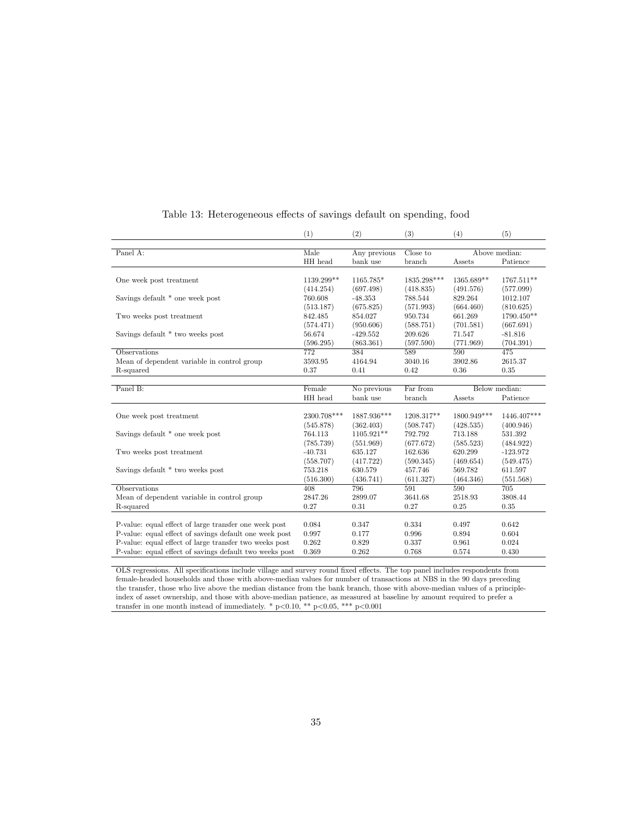|                                                         | (1)         | (2)          | (3)         | (4)         | (5)           |
|---------------------------------------------------------|-------------|--------------|-------------|-------------|---------------|
|                                                         |             |              |             |             |               |
| Panel A:                                                | Male        | Any previous | Close to    |             | Above median: |
|                                                         | HH head     | bank use     | branch      | Assets      | Patience      |
|                                                         |             |              |             |             |               |
| One week post treatment                                 | 1139.299**  | 1165.785*    | 1835.298*** | 1365.689**  | 1767.511**    |
|                                                         | (414.254)   | (697.498)    | (418.835)   | (491.576)   | (577.099)     |
| Savings default * one week post                         | 760.608     | $-48.353$    | 788.544     | 829.264     | 1012.107      |
|                                                         | (513.187)   | (675.825)    | (571.993)   | (664.460)   | (810.625)     |
| Two weeks post treatment                                | 842.485     | 854.027      | 950.734     | 661.269     | 1790.450**    |
|                                                         | (574.471)   | (950.606)    | (588.751)   | (701.581)   | (667.691)     |
| Savings default * two weeks post                        | 56.674      | $-429.552$   | 209.626     | 71.547      | $-81.816$     |
|                                                         | (596.295)   | (863.361)    | (597.590)   | (771.969)   | (704.391)     |
| Observations                                            | 772         | 384          | 589         | 590         | 475           |
| Mean of dependent variable in control group             | 3593.95     | 4164.94      | 3040.16     | 3902.86     | 2615.37       |
| R-squared                                               | 0.37        | 0.41         | 0.42        | 0.36        | 0.35          |
|                                                         |             |              |             |             |               |
| Panel B:                                                | Female      | No previous  | Far from    |             | Below median: |
|                                                         | HH head     | bank use     | branch      | Assets      | Patience      |
|                                                         |             |              |             |             |               |
| One week post treatment                                 | 2300.708*** | 1887.936***  | 1208.317**  | 1800.949*** | 1446.407***   |
|                                                         | (545.878)   | (362.403)    | (508.747)   | (428.535)   | (400.946)     |
| Savings default * one week post                         | 764.113     | 1105.921**   | 792.792     | 713.188     | 531.392       |
|                                                         | (785.739)   | (551.969)    | (677.672)   | (585.523)   | (484.922)     |
| Two weeks post treatment                                | $-40.731$   | 635.127      | 162.636     | 620.299     | $-123.972$    |
|                                                         | (558.707)   | (417.722)    | (590.345)   | (469.654)   | (549.475)     |
| Savings default * two weeks post                        | 753.218     | 630.579      | 457.746     | 569.782     | 611.597       |
|                                                         | (516.300)   | (436.741)    | (611.327)   | (464.346)   | (551.568)     |
| <b>Observations</b>                                     | 408         | 796          | 591         | 590         | 705           |
| Mean of dependent variable in control group             | 2847.26     | 2899.07      | 3641.68     | 2518.93     | 3808.44       |
| R-squared                                               | 0.27        | 0.31         | 0.27        | 0.25        | 0.35          |
|                                                         |             |              |             |             |               |
| P-value: equal effect of large transfer one week post   | 0.084       | 0.347        | 0.334       | 0.497       | 0.642         |
| P-value: equal effect of savings default one week post  | 0.997       | 0.177        | 0.996       | 0.894       | 0.604         |
| P-value: equal effect of large transfer two weeks post  | 0.262       | 0.829        | 0.337       | 0.961       | 0.024         |
| P-value: equal effect of savings default two weeks post | 0.369       | 0.262        | 0.768       | 0.574       | 0.430         |
|                                                         |             |              |             |             |               |

#### Table 13: Heterogeneous effects of savings default on spending, food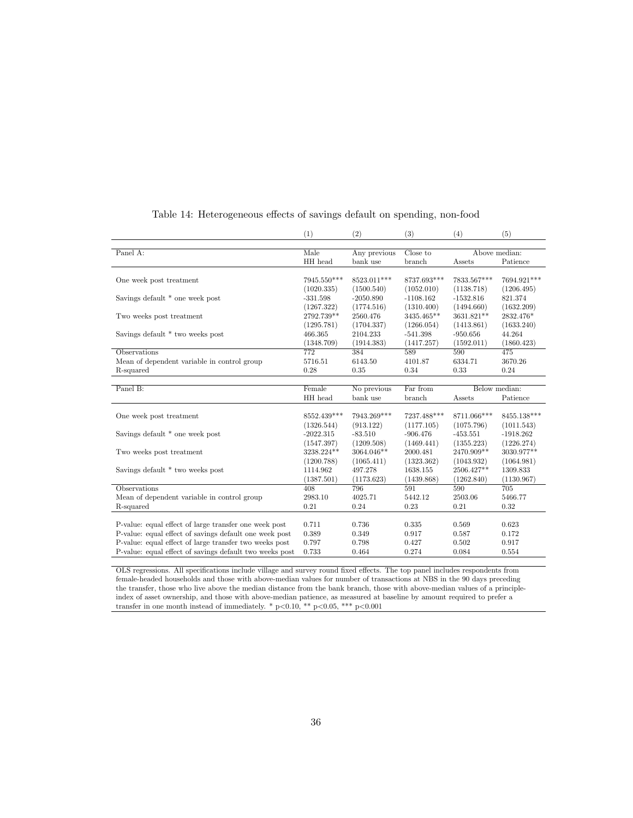|                                                         | (1)                      | (2)          | (3)         | (4)         | (5)           |
|---------------------------------------------------------|--------------------------|--------------|-------------|-------------|---------------|
|                                                         |                          |              |             |             |               |
| Panel A:                                                | Male                     | Any previous | Close to    |             | Above median: |
|                                                         | HH head                  | bank use     | branch      | Assets      | Patience      |
|                                                         | 7945.550***              | 8523.011***  | 8737.693*** | 7833.567*** | 7694.921***   |
| One week post treatment                                 |                          |              |             |             |               |
|                                                         | (1020.335)               | (1500.540)   | (1052.010)  | (1138.718)  | (1206.495)    |
| Savings default * one week post                         | $-331.598$               | $-2050.890$  | $-1108.162$ | $-1532.816$ | 821.374       |
|                                                         | (1267.322)<br>2792.739** | (1774.516)   | (1310.400)  | (1494.660)  | (1632.209)    |
| Two weeks post treatment                                |                          | 2560.476     | 3435.465**  | 3631.821**  | 2832.476*     |
|                                                         | (1295.781)               | (1704.337)   | (1266.054)  | (1413.861)  | (1633.240)    |
| Savings default * two weeks post                        | 466.365                  | 2104.233     | $-541.398$  | $-950.656$  | 44.264        |
|                                                         | (1348.709)               | (1914.383)   | (1417.257)  | (1592.011)  | (1860.423)    |
| Observations                                            | 772                      | 384          | 589         | 590         | 475           |
| Mean of dependent variable in control group             | 5716.51                  | 6143.50      | 4101.87     | 6334.71     | 3670.26       |
| R-squared                                               | 0.28                     | 0.35         | 0.34        | 0.33        | 0.24          |
|                                                         |                          |              |             |             |               |
| Panel B:                                                | Female                   | No previous  | Far from    |             | Below median: |
|                                                         | HH head                  | bank use     | branch      | Assets      | Patience      |
|                                                         |                          |              |             |             |               |
| One week post treatment                                 | 8552.439***              | 7943.269***  | 7237.488*** | 8711.066*** | 8455.138***   |
|                                                         | (1326.544)               | (913.122)    | (1177.105)  | (1075.796)  | (1011.543)    |
| Savings default * one week post                         | $-2022.315$              | $-83.510$    | $-906.476$  | $-453.551$  | $-1918.262$   |
|                                                         | (1547.397)               | (1209.508)   | (1469.441)  | (1355.223)  | (1226.274)    |
| Two weeks post treatment                                | 3238.224**               | 3064.046**   | 2000.481    | 2470.909**  | 3030.977**    |
|                                                         | (1200.788)               | (1065.411)   | (1323.362)  | (1043.932)  | (1064.981)    |
| Savings default * two weeks post                        | 1114.962                 | 497.278      | 1638.155    | 2506.427**  | 1309.833      |
|                                                         | (1387.501)               | (1173.623)   | (1439.868)  | (1262.840)  | (1130.967)    |
| <b>Observations</b>                                     | 408                      | 796          | 591         | 590         | 705           |
| Mean of dependent variable in control group             | 2983.10                  | 4025.71      | 5442.12     | 2503.06     | 5466.77       |
| R-squared                                               | 0.21                     | 0.24         | 0.23        | 0.21        | 0.32          |
|                                                         |                          |              |             |             |               |
| P-value: equal effect of large transfer one week post   | 0.711                    | 0.736        | 0.335       | 0.569       | 0.623         |
| P-value: equal effect of savings default one week post  | 0.389                    | 0.349        | 0.917       | 0.587       | 0.172         |
| P-value: equal effect of large transfer two weeks post  | 0.797                    | 0.798        | 0.427       | 0.502       | 0.917         |
| P-value: equal effect of savings default two weeks post | 0.733                    | 0.464        | 0.274       | 0.084       | 0.554         |
|                                                         |                          |              |             |             |               |

#### Table 14: Heterogeneous effects of savings default on spending, non-food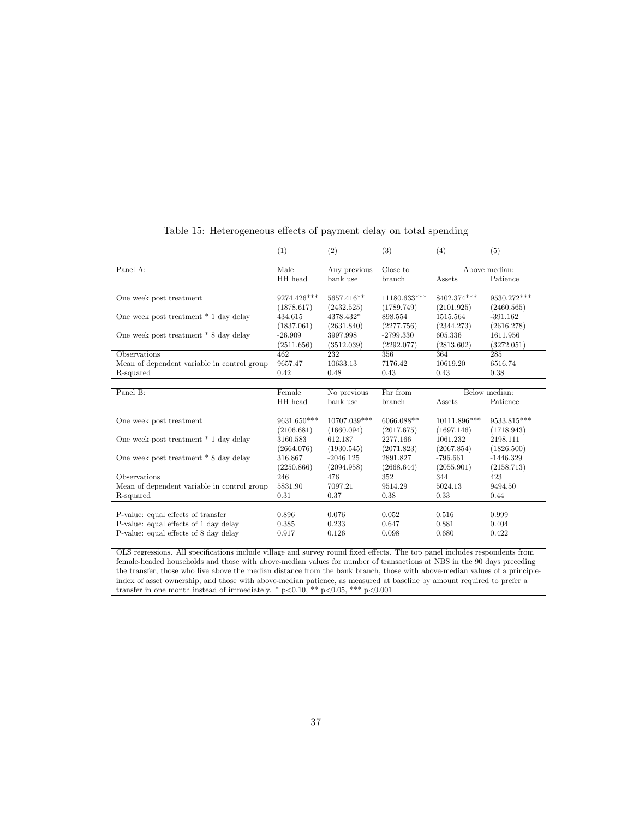|                                             | (1)         | (2)          | (3)            | (4)          | (5)           |
|---------------------------------------------|-------------|--------------|----------------|--------------|---------------|
|                                             |             |              |                |              |               |
| Panel A:                                    | Male        | Any previous | Close to       |              | Above median: |
|                                             | HH head     | bank use     | branch         | Assets       | Patience      |
|                                             |             |              |                |              |               |
| One week post treatment                     | 9274.426*** | 5657.416**   | $11180.633***$ | 8402.374***  | 9530.272***   |
|                                             | (1878.617)  | (2432.525)   | (1789.749)     | (2101.925)   | (2460.565)    |
| One week post treatment * 1 day delay       | 434.615     | 4378.432*    | 898.554        | 1515.564     | $-391.162$    |
|                                             | (1837.061)  | (2631.840)   | (2277.756)     | (2344.273)   | (2616.278)    |
| One week post treatment * 8 day delay       | $-26.909$   | 3997.998     | $-2799.330$    | 605.336      | 1611.956      |
|                                             | (2511.656)  | (3512.039)   | (2292.077)     | (2813.602)   | (3272.051)    |
| Observations                                | 462         | 232          | 356            | 364          | 285           |
| Mean of dependent variable in control group | 9657.47     | 10633.13     | 7176.42        | 10619.20     | 6516.74       |
| R-squared                                   | 0.42        | 0.48         | 0.43           | 0.43         | 0.38          |
|                                             |             |              |                |              |               |
| Panel B:                                    | Female      | No previous  | Far from       |              | Below median: |
|                                             | HH head     | bank use     | branch         | Assets       | Patience      |
|                                             |             |              |                |              |               |
| One week post treatment                     | 9631.650*** | 10707.039*** | 6066.088**     | 10111.896*** | 9533.815***   |
|                                             | (2106.681)  | (1660.094)   | (2017.675)     | (1697.146)   | (1718.943)    |
| One week post treatment * 1 day delay       | 3160.583    | 612.187      | 2277.166       | 1061.232     | 2198.111      |
|                                             | (2664.076)  | (1930.545)   | (2071.823)     | (2067.854)   | (1826.500)    |
| One week post treatment * 8 day delay       | 316.867     | $-2046.125$  | 2891.827       | $-796.661$   | $-1446.329$   |
|                                             | (2250.866)  | (2094.958)   | (2668.644)     | (2055.901)   | (2158.713)    |
| Observations                                | 246         | 476          | 352            | 344          | 423           |
| Mean of dependent variable in control group | 5831.90     | 7097.21      | 9514.29        | 5024.13      | 9494.50       |
| R-squared                                   | 0.31        | 0.37         | 0.38           | 0.33         | 0.44          |
|                                             |             |              |                |              |               |
| P-value: equal effects of transfer          | 0.896       | 0.076        | 0.052          | 0.516        | 0.999         |
| P-value: equal effects of 1 day delay       | 0.385       | 0.233        | 0.647          | 0.881        | 0.404         |
| P-value: equal effects of 8 day delay       | 0.917       | 0.126        | 0.098          | 0.680        | 0.422         |
|                                             |             |              |                |              |               |

### Table 15: Heterogeneous effects of payment delay on total spending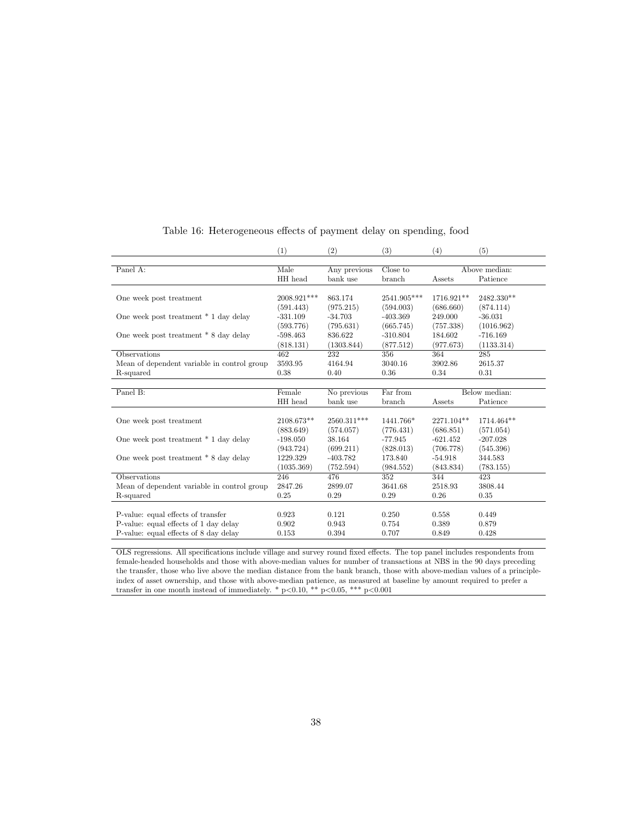|                                             | (1)           | (2)          | (3)         | (4)        | (5)           |
|---------------------------------------------|---------------|--------------|-------------|------------|---------------|
|                                             |               |              |             |            |               |
| Panel A:                                    | Male          | Any previous | Close to    |            | Above median: |
|                                             | HH head       | bank use     | branch      | Assets     | Patience      |
|                                             |               |              |             |            |               |
| One week post treatment                     | $2008.921***$ | 863.174      | 2541.905*** | 1716.921** | 2482.330**    |
|                                             | (591.443)     | (975.215)    | (594.003)   | (686.660)  | (874.114)     |
| One week post treatment * 1 day delay       | $-331.109$    | $-34.703$    | $-403.369$  | 249.000    | $-36.031$     |
|                                             | (593.776)     | (795.631)    | (665.745)   | (757.338)  | (1016.962)    |
| One week post treatment * 8 day delay       | $-598.463$    | 836.622      | $-310.804$  | 184.602    | $-716.169$    |
|                                             | (818.131)     | (1303.844)   | (877.512)   | (977.673)  | (1133.314)    |
| Observations                                | 462           | 232          | 356         | 364        | 285           |
| Mean of dependent variable in control group | 3593.95       | 4164.94      | 3040.16     | 3902.86    | 2615.37       |
| R-squared                                   | 0.38          | 0.40         | 0.36        | 0.34       | 0.31          |
|                                             |               |              |             |            |               |
| Panel B:                                    | Female        | No previous  | Far from    |            | Below median: |
|                                             | HH head       | bank use     | branch      | Assets     | Patience      |
|                                             |               |              |             |            |               |
| One week post treatment                     | 2108.673**    | 2560.311***  | 1441.766*   | 2271.104** | 1714.464**    |
|                                             | (883.649)     | (574.057)    | (776.431)   | (686.851)  | (571.054)     |
| One week post treatment * 1 day delay       | $-198.050$    | 38.164       | $-77.945$   | $-621.452$ | $-207.028$    |
|                                             | (943.724)     | (699.211)    | (828.013)   | (706.778)  | (545.396)     |
| One week post treatment * 8 day delay       | 1229.329      | $-403.782$   | 173.840     | $-54.918$  | 344.583       |
|                                             | (1035.369)    | (752.594)    | (984.552)   | (843.834)  | (783.155)     |
| Observations                                | 246           | 476          | 352         | 344        | 423           |
| Mean of dependent variable in control group | 2847.26       | 2899.07      | 3641.68     | 2518.93    | 3808.44       |
| R-squared                                   | 0.25          | 0.29         | 0.29        | 0.26       | 0.35          |
|                                             |               |              |             |            |               |
| P-value: equal effects of transfer          | 0.923         | 0.121        | 0.250       | 0.558      | 0.449         |
| P-value: equal effects of 1 day delay       | 0.902         | 0.943        | 0.754       | 0.389      | 0.879         |
| P-value: equal effects of 8 day delay       | 0.153         | 0.394        | 0.707       | 0.849      | 0.428         |
|                                             |               |              |             |            |               |

Table 16: Heterogeneous effects of payment delay on spending, food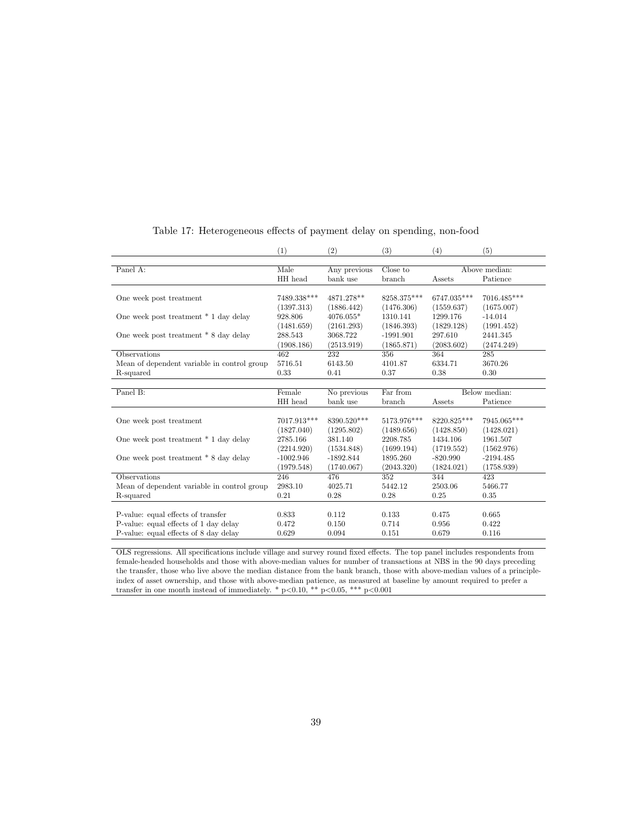|                                             | (1)         | (2)          | (3)         | (4)         | (5)           |
|---------------------------------------------|-------------|--------------|-------------|-------------|---------------|
|                                             |             |              |             |             |               |
| Panel A:                                    | Male        | Any previous | Close to    |             | Above median: |
|                                             | HH head     | bank use     | branch      | Assets      | Patience      |
|                                             |             |              |             |             |               |
| One week post treatment                     | 7489.338*** | 4871.278**   | 8258.375*** | 6747.035*** | 7016.485***   |
|                                             | (1397.313)  | (1886.442)   | (1476.306)  | (1559.637)  | (1675.007)    |
| One week post treatment * 1 day delay       | 928.806     | 4076.055*    | 1310.141    | 1299.176    | $-14.014$     |
|                                             | (1481.659)  | (2161.293)   | (1846.393)  | (1829.128)  | (1991.452)    |
| One week post treatment * 8 day delay       | 288.543     | 3068.722     | $-1991.901$ | 297.610     | 2441.345      |
|                                             | (1908.186)  | (2513.919)   | (1865.871)  | (2083.602)  | (2474.249)    |
| Observations                                | 462         | 232          | 356         | 364         | 285           |
| Mean of dependent variable in control group | 5716.51     | 6143.50      | 4101.87     | 6334.71     | 3670.26       |
| R-squared                                   | 0.33        | 0.41         | 0.37        | 0.38        | 0.30          |
|                                             |             |              |             |             |               |
| Panel B:                                    | Female      | No previous  | Far from    |             | Below median: |
|                                             | HH head     | bank use     | branch      | Assets      | Patience      |
|                                             |             |              |             |             |               |
| One week post treatment                     | 7017.913*** | 8390.520***  | 5173.976*** | 8220.825*** | 7945.065***   |
|                                             | (1827.040)  | (1295.802)   | (1489.656)  | (1428.850)  | (1428.021)    |
| One week post treatment * 1 day delay       | 2785.166    | 381.140      | 2208.785    | 1434.106    | 1961.507      |
|                                             | (2214.920)  | (1534.848)   | (1699.194)  | (1719.552)  | (1562.976)    |
| One week post treatment * 8 day delay       | $-1002.946$ | $-1892.844$  | 1895.260    | $-820.990$  | $-2194.485$   |
|                                             | (1979.548)  | (1740.067)   | (2043.320)  | (1824.021)  | (1758.939)    |
| <b>Observations</b>                         | 246         | 476          | 352         | 344         | 423           |
| Mean of dependent variable in control group | 2983.10     | 4025.71      | 5442.12     | 2503.06     | 5466.77       |
| R-squared                                   | 0.21        | 0.28         | 0.28        | 0.25        | 0.35          |
|                                             |             |              |             |             |               |
| P-value: equal effects of transfer          | 0.833       | 0.112        | 0.133       | 0.475       | 0.665         |
| P-value: equal effects of 1 day delay       | 0.472       | 0.150        | 0.714       | 0.956       | 0.422         |
| P-value: equal effects of 8 day delay       | 0.629       | 0.094        | 0.151       | 0.679       | 0.116         |
|                                             |             |              |             |             |               |

Table 17: Heterogeneous effects of payment delay on spending, non-food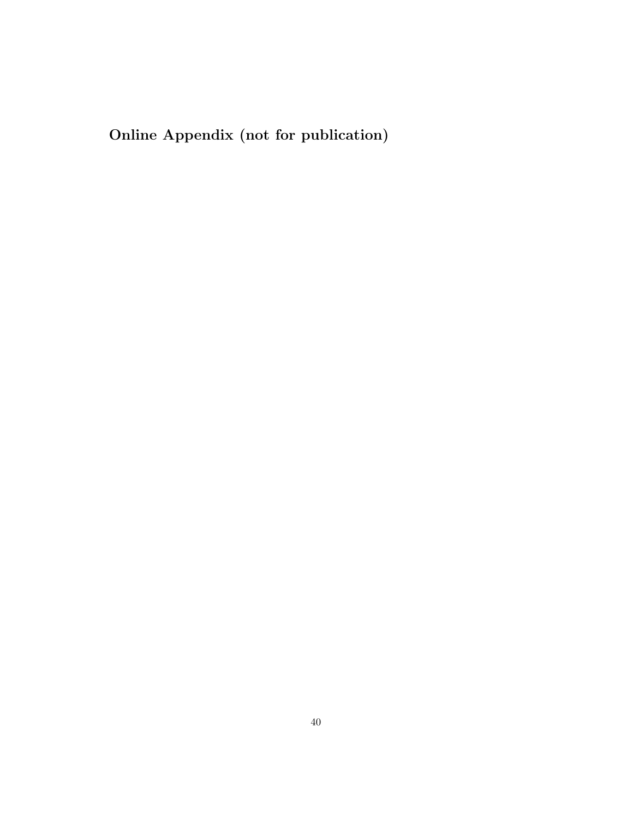Online Appendix (not for publication)